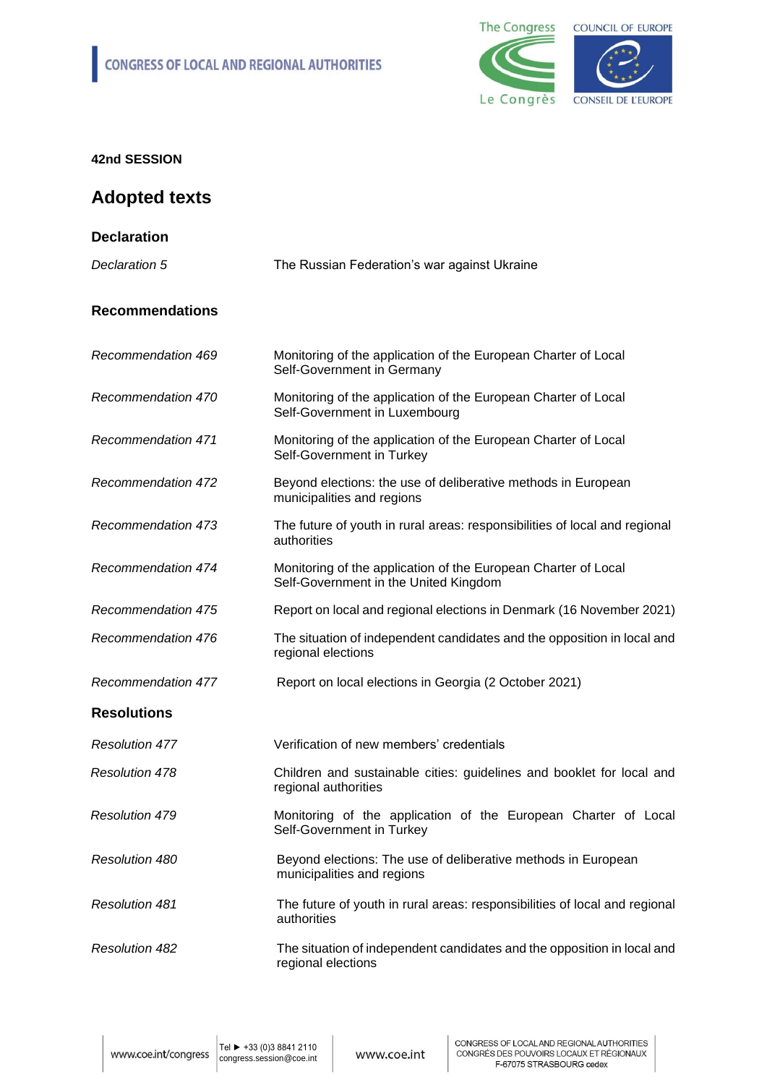

# **Adopted texts**

| <b>Declaration</b>        |                                                                                                         |
|---------------------------|---------------------------------------------------------------------------------------------------------|
| Declaration 5             | The Russian Federation's war against Ukraine                                                            |
| <b>Recommendations</b>    |                                                                                                         |
| Recommendation 469        | Monitoring of the application of the European Charter of Local<br>Self-Government in Germany            |
| Recommendation 470        | Monitoring of the application of the European Charter of Local<br>Self-Government in Luxembourg         |
| <b>Recommendation 471</b> | Monitoring of the application of the European Charter of Local<br>Self-Government in Turkey             |
| <b>Recommendation 472</b> | Beyond elections: the use of deliberative methods in European<br>municipalities and regions             |
| <b>Recommendation 473</b> | The future of youth in rural areas: responsibilities of local and regional<br>authorities               |
| Recommendation 474        | Monitoring of the application of the European Charter of Local<br>Self-Government in the United Kingdom |
| Recommendation 475        | Report on local and regional elections in Denmark (16 November 2021)                                    |
| Recommendation 476        | The situation of independent candidates and the opposition in local and<br>regional elections           |
| <b>Recommendation 477</b> | Report on local elections in Georgia (2 October 2021)                                                   |
| <b>Resolutions</b>        |                                                                                                         |
| <b>Resolution 477</b>     | Verification of new members' credentials                                                                |
| <b>Resolution 478</b>     | Children and sustainable cities: guidelines and booklet for local and<br>regional authorities           |
| <b>Resolution 479</b>     | Monitoring of the application of the European Charter of Local<br>Self-Government in Turkey             |
| <b>Resolution 480</b>     | Beyond elections: The use of deliberative methods in European<br>municipalities and regions             |
| <b>Resolution 481</b>     | The future of youth in rural areas: responsibilities of local and regional<br>authorities               |
| <b>Resolution 482</b>     | The situation of independent candidates and the opposition in local and<br>regional elections           |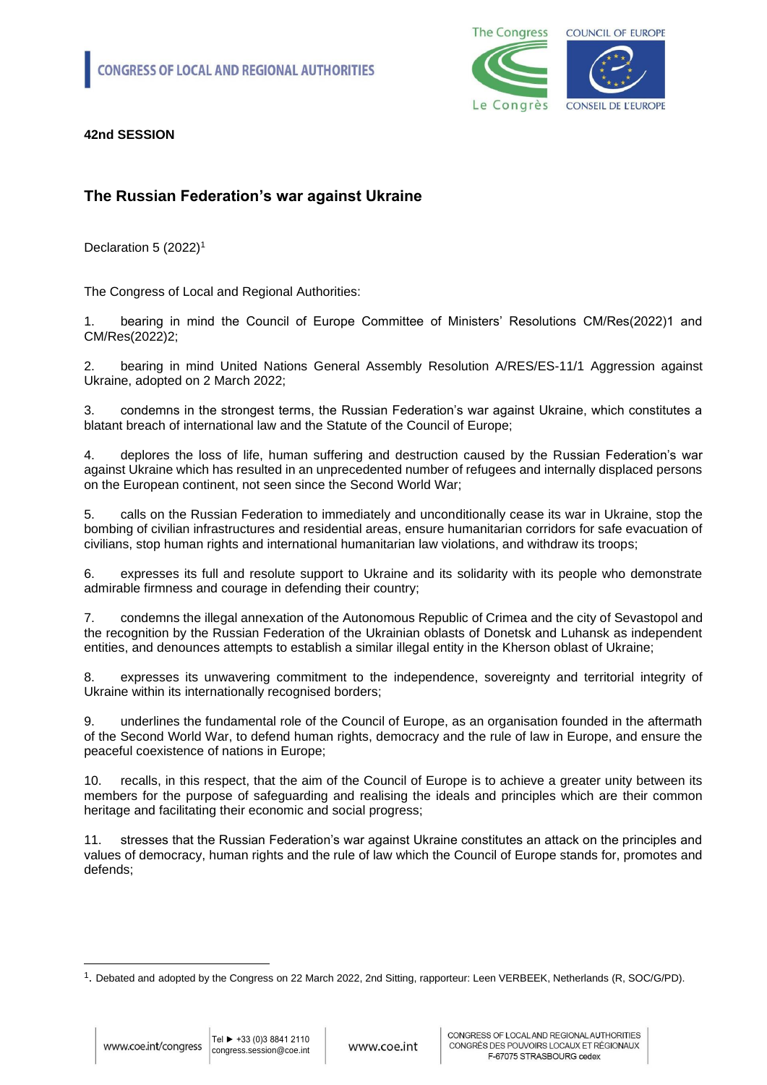

#### **The Russian Federation's war against Ukraine**

Declaration 5 (2022)<sup>1</sup>

The Congress of Local and Regional Authorities:

1. bearing in mind the Council of Europe Committee of Ministers' Resolutions CM/Res(2022)1 and CM/Res(2022)2;

2. bearing in mind United Nations General Assembly Resolution A/RES/ES-11/1 Aggression against Ukraine, adopted on 2 March 2022;

3. condemns in the strongest terms, the Russian Federation's war against Ukraine, which constitutes a blatant breach of international law and the Statute of the Council of Europe;

4. deplores the loss of life, human suffering and destruction caused by the Russian Federation's war against Ukraine which has resulted in an unprecedented number of refugees and internally displaced persons on the European continent, not seen since the Second World War;

5. calls on the Russian Federation to immediately and unconditionally cease its war in Ukraine, stop the bombing of civilian infrastructures and residential areas, ensure humanitarian corridors for safe evacuation of civilians, stop human rights and international humanitarian law violations, and withdraw its troops;

6. expresses its full and resolute support to Ukraine and its solidarity with its people who demonstrate admirable firmness and courage in defending their country;

7. condemns the illegal annexation of the Autonomous Republic of Crimea and the city of Sevastopol and the recognition by the Russian Federation of the Ukrainian oblasts of Donetsk and Luhansk as independent entities, and denounces attempts to establish a similar illegal entity in the Kherson oblast of Ukraine;

8. expresses its unwavering commitment to the independence, sovereignty and territorial integrity of Ukraine within its internationally recognised borders;

9. underlines the fundamental role of the Council of Europe, as an organisation founded in the aftermath of the Second World War, to defend human rights, democracy and the rule of law in Europe, and ensure the peaceful coexistence of nations in Europe;

10. recalls, in this respect, that the aim of the Council of Europe is to achieve a greater unity between its members for the purpose of safeguarding and realising the ideals and principles which are their common heritage and facilitating their economic and social progress;

11. stresses that the Russian Federation's war against Ukraine constitutes an attack on the principles and values of democracy, human rights and the rule of law which the Council of Europe stands for, promotes and defends;

<sup>1</sup> . Debated and adopted by the Congress on 22 March 2022, 2nd Sitting, rapporteur: Leen VERBEEK, Netherlands (R, SOC/G/PD).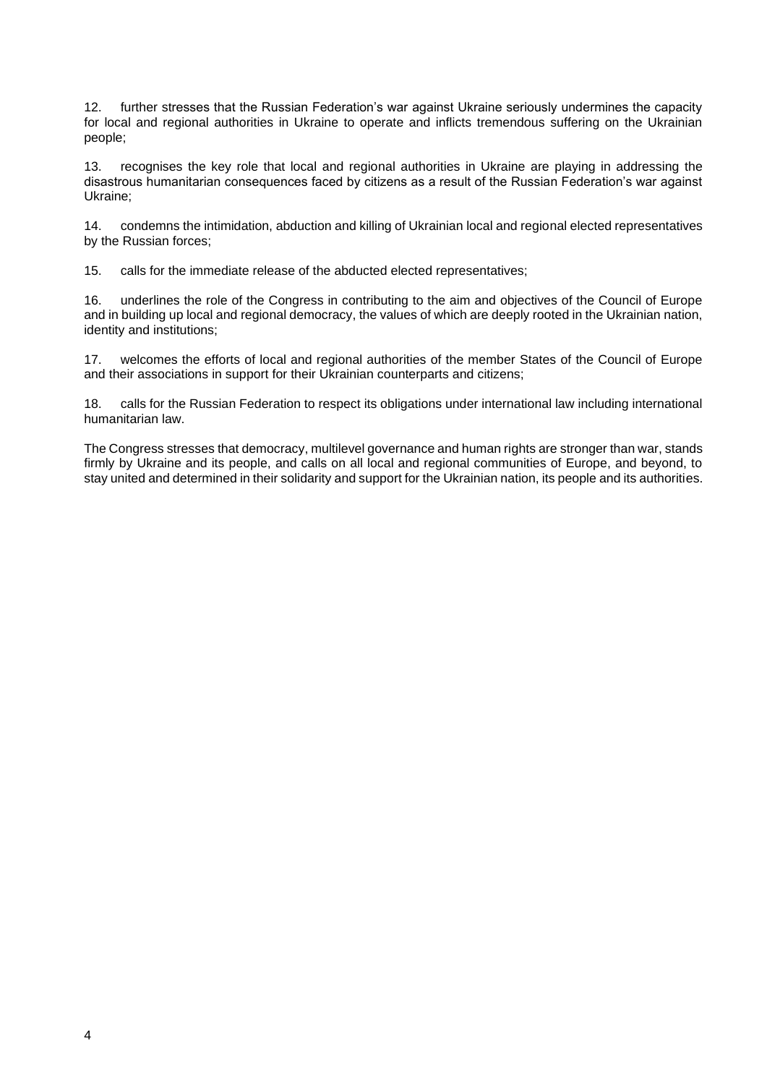12. further stresses that the Russian Federation's war against Ukraine seriously undermines the capacity for local and regional authorities in Ukraine to operate and inflicts tremendous suffering on the Ukrainian people;

13. recognises the key role that local and regional authorities in Ukraine are playing in addressing the disastrous humanitarian consequences faced by citizens as a result of the Russian Federation's war against Ukraine;

14. condemns the intimidation, abduction and killing of Ukrainian local and regional elected representatives by the Russian forces;

15. calls for the immediate release of the abducted elected representatives;

16. underlines the role of the Congress in contributing to the aim and objectives of the Council of Europe and in building up local and regional democracy, the values of which are deeply rooted in the Ukrainian nation, identity and institutions;

17. welcomes the efforts of local and regional authorities of the member States of the Council of Europe and their associations in support for their Ukrainian counterparts and citizens;

18. calls for the Russian Federation to respect its obligations under international law including international humanitarian law.

The Congress stresses that democracy, multilevel governance and human rights are stronger than war, stands firmly by Ukraine and its people, and calls on all local and regional communities of Europe, and beyond, to stay united and determined in their solidarity and support for the Ukrainian nation, its people and its authorities.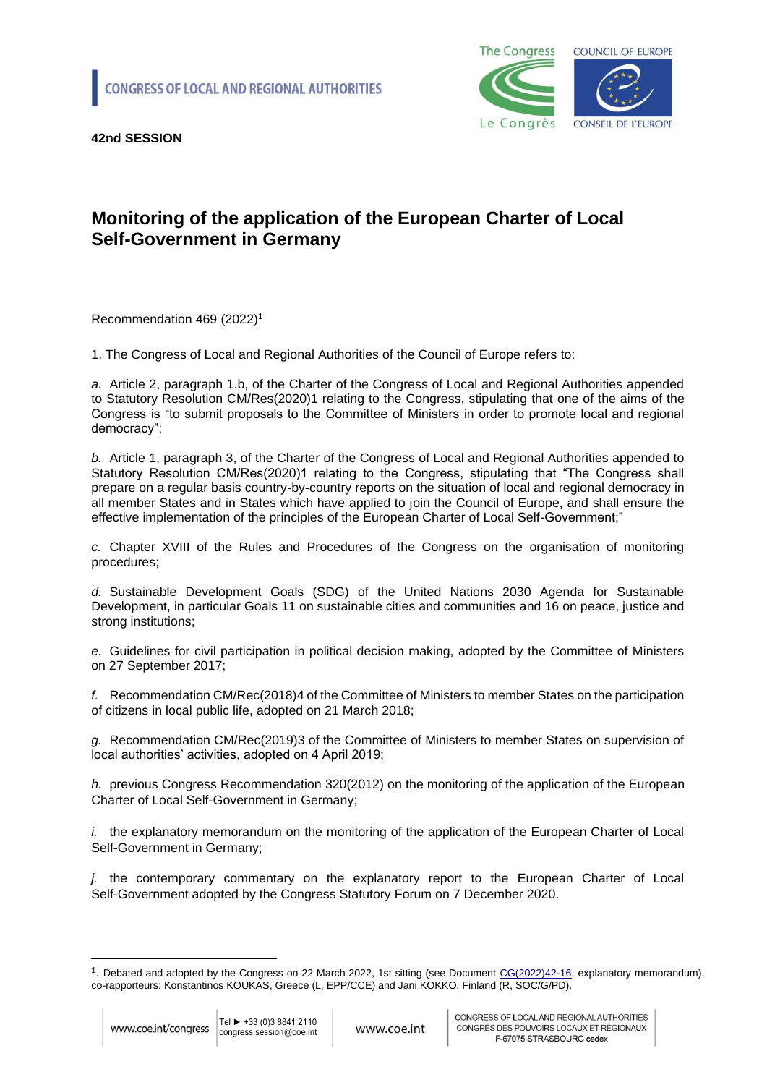

# **Monitoring of the application of the European Charter of Local Self-Government in Germany**

Recommendation 469 (2022)<sup>1</sup>

1. The Congress of Local and Regional Authorities of the Council of Europe refers to:

*a.* Article 2, paragraph 1.b, of the Charter of the Congress of Local and Regional Authorities appended to Statutory Resolution CM/Res(2020)1 relating to the Congress, stipulating that one of the aims of the Congress is "to submit proposals to the Committee of Ministers in order to promote local and regional democracy";

*b.* Article 1, paragraph 3, of the Charter of the Congress of Local and Regional Authorities appended to Statutory Resolution CM/Res(2020)1 relating to the Congress, stipulating that "The Congress shall prepare on a regular basis country-by-country reports on the situation of local and regional democracy in all member States and in States which have applied to join the Council of Europe, and shall ensure the effective implementation of the principles of the European Charter of Local Self-Government;"

*c.* Chapter XVIII of the Rules and Procedures of the Congress on the organisation of monitoring procedures;

*d.* Sustainable Development Goals (SDG) of the United Nations 2030 Agenda for Sustainable Development, in particular Goals 11 on sustainable cities and communities and 16 on peace, justice and strong institutions;

*e.* Guidelines for civil participation in political decision making, adopted by the Committee of Ministers on 27 September 2017;

*f.* Recommendation CM/Rec(2018)4 of the Committee of Ministers to member States on the participation of citizens in local public life, adopted on 21 March 2018;

*g.* Recommendation CM/Rec(2019)3 of the Committee of Ministers to member States on supervision of local authorities' activities, adopted on 4 April 2019;

*h.* previous Congress Recommendation 320(2012) on the monitoring of the application of the European Charter of Local Self-Government in Germany;

*i.* the explanatory memorandum on the monitoring of the application of the European Charter of Local Self-Government in Germany;

*j.* the contemporary commentary on the explanatory report to the European Charter of Local Self-Government adopted by the Congress Statutory Forum on 7 December 2020.

<sup>&</sup>lt;sup>1</sup>. Debated and adopted by the Congress on 22 March 2022, 1st sitting (see Document [CG\(2022\)42-16,](https://rm.coe.int/cg-2022-42-16prov-en-monitoring-of-the-application-of-the-european-cha/1680a5b17c) explanatory memorandum), co-rapporteurs: Konstantinos KOUKAS, Greece (L, EPP/CCE) and Jani KOKKO, Finland (R, SOC/G/PD).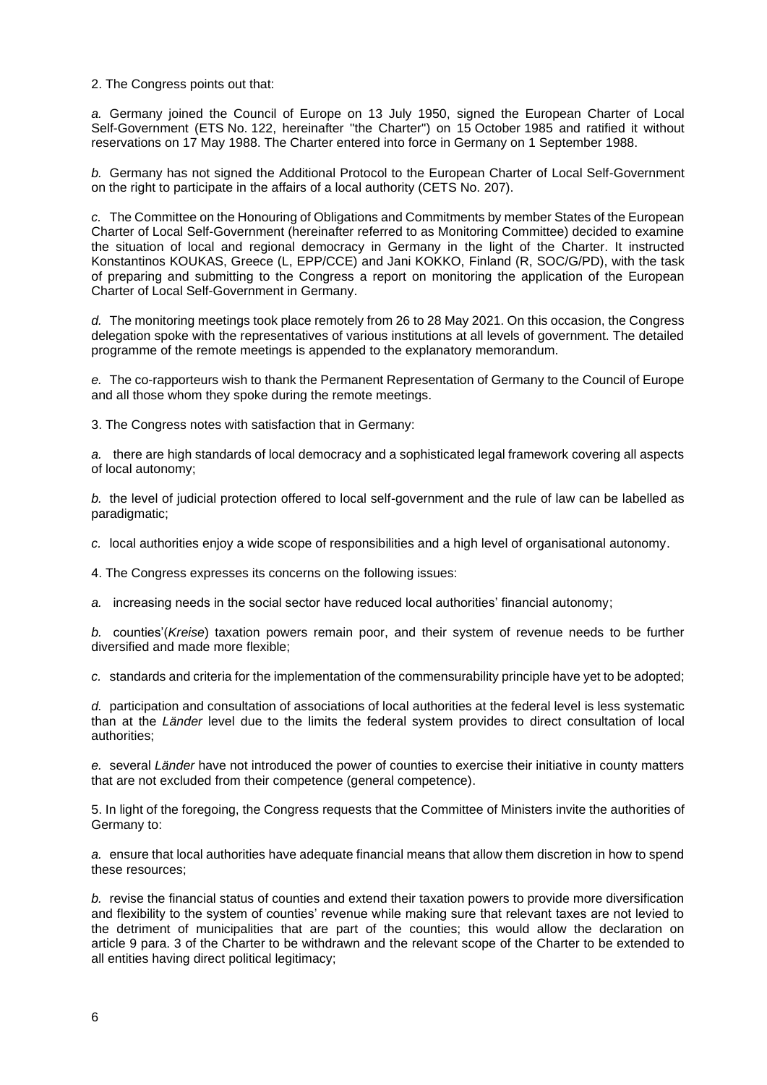2. The Congress points out that:

*a.* Germany joined the Council of Europe on 13 July 1950, signed the European Charter of Local Self-Government (ETS No. 122, hereinafter "the Charter") on 15 October 1985 and ratified it without reservations on 17 May 1988. The Charter entered into force in Germany on 1 September 1988.

*b.* Germany has not signed the Additional Protocol to the European Charter of Local Self-Government on the right to participate in the affairs of a local authority (CETS No. 207).

*c.* The Committee on the Honouring of Obligations and Commitments by member States of the European Charter of Local Self-Government (hereinafter referred to as Monitoring Committee) decided to examine the situation of local and regional democracy in Germany in the light of the Charter. It instructed Konstantinos KOUKAS, Greece (L, EPP/CCE) and Jani KOKKO, Finland (R, SOC/G/PD), with the task of preparing and submitting to the Congress a report on monitoring the application of the European Charter of Local Self-Government in Germany.

*d.* The monitoring meetings took place remotely from 26 to 28 May 2021. On this occasion, the Congress delegation spoke with the representatives of various institutions at all levels of government. The detailed programme of the remote meetings is appended to the explanatory memorandum.

*e.* The co-rapporteurs wish to thank the Permanent Representation of Germany to the Council of Europe and all those whom they spoke during the remote meetings.

3. The Congress notes with satisfaction that in Germany:

*a.* there are high standards of local democracy and a sophisticated legal framework covering all aspects of local autonomy;

*b.* the level of judicial protection offered to local self-government and the rule of law can be labelled as paradigmatic;

*c.* local authorities enjoy a wide scope of responsibilities and a high level of organisational autonomy.

4. The Congress expresses its concerns on the following issues:

*a.* increasing needs in the social sector have reduced local authorities' financial autonomy;

*b.* counties'(*Kreise*) taxation powers remain poor, and their system of revenue needs to be further diversified and made more flexible;

*c.* standards and criteria for the implementation of the commensurability principle have yet to be adopted;

*d.* participation and consultation of associations of local authorities at the federal level is less systematic than at the *Länder* level due to the limits the federal system provides to direct consultation of local authorities;

*e.* several *Länder* have not introduced the power of counties to exercise their initiative in county matters that are not excluded from their competence (general competence).

5. In light of the foregoing, the Congress requests that the Committee of Ministers invite the authorities of Germany to:

*a.* ensure that local authorities have adequate financial means that allow them discretion in how to spend these resources;

*b.* revise the financial status of counties and extend their taxation powers to provide more diversification and flexibility to the system of counties' revenue while making sure that relevant taxes are not levied to the detriment of municipalities that are part of the counties; this would allow the declaration on article 9 para. 3 of the Charter to be withdrawn and the relevant scope of the Charter to be extended to all entities having direct political legitimacy;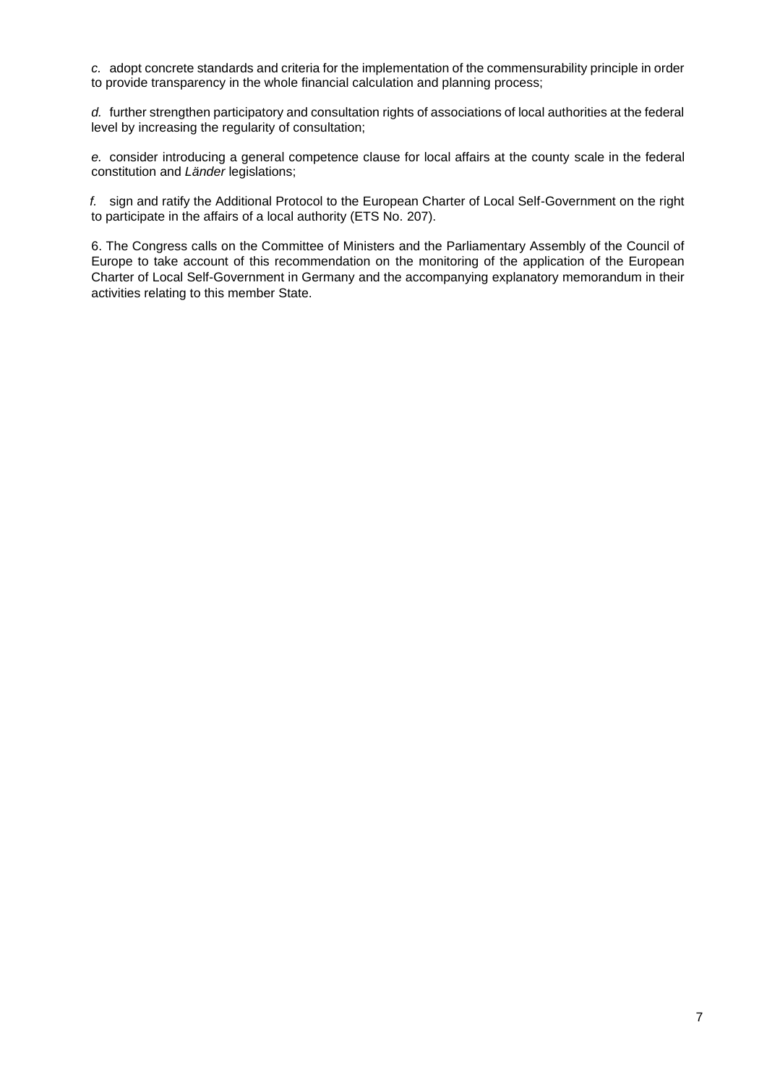*c.* adopt concrete standards and criteria for the implementation of the commensurability principle in order to provide transparency in the whole financial calculation and planning process;

*d.* further strengthen participatory and consultation rights of associations of local authorities at the federal level by increasing the regularity of consultation;

*e.* consider introducing a general competence clause for local affairs at the county scale in the federal constitution and *Länder* legislations;

*f.* sign and ratify the Additional Protocol to the European Charter of Local Self-Government on the right to participate in the affairs of a local authority (ETS No. 207).

6. The Congress calls on the Committee of Ministers and the Parliamentary Assembly of the Council of Europe to take account of this recommendation on the monitoring of the application of the European Charter of Local Self-Government in Germany and the accompanying explanatory memorandum in their activities relating to this member State.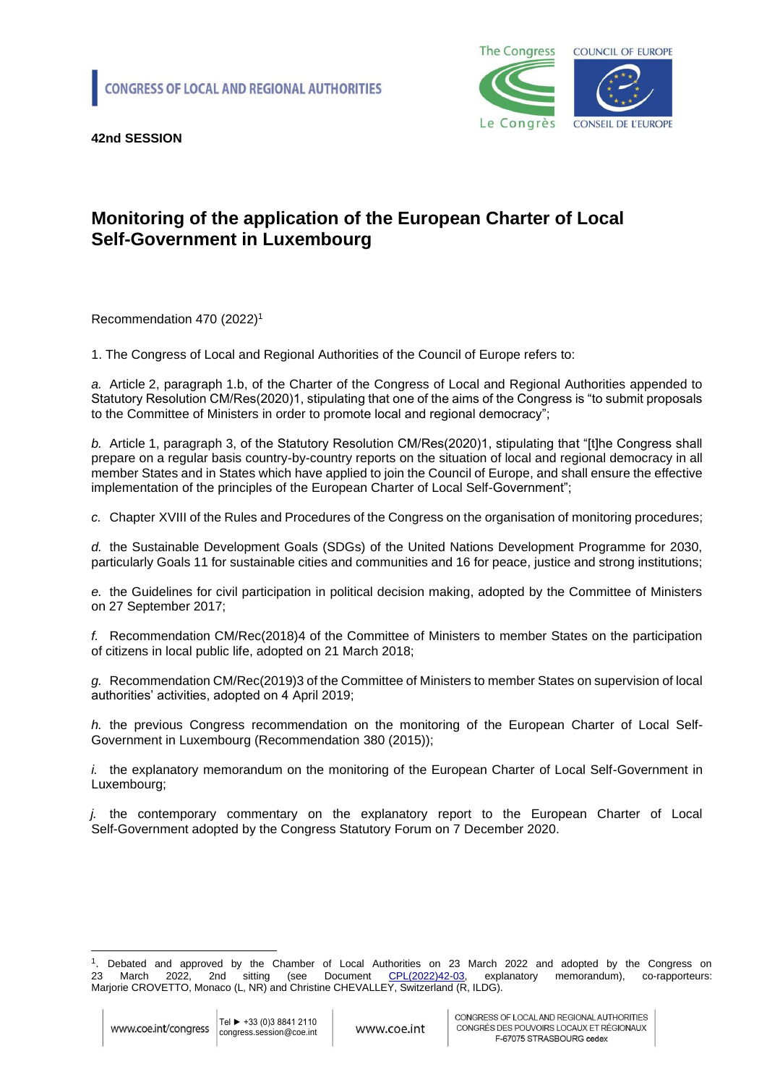

# **Monitoring of the application of the European Charter of Local Self-Government in Luxembourg**

Recommendation 470 (2022)<sup>1</sup>

1. The Congress of Local and Regional Authorities of the Council of Europe refers to:

*a.* Article 2, paragraph 1.b, of the Charter of the Congress of Local and Regional Authorities appended to Statutory Resolution CM/Res(2020)1, stipulating that one of the aims of the Congress is "to submit proposals to the Committee of Ministers in order to promote local and regional democracy";

*b.* Article 1, paragraph 3, of the Statutory Resolution CM/Res(2020)1, stipulating that "[t]he Congress shall prepare on a regular basis country-by-country reports on the situation of local and regional democracy in all member States and in States which have applied to join the Council of Europe, and shall ensure the effective implementation of the principles of the European Charter of Local Self-Government";

*c.* Chapter XVIII of the Rules and Procedures of the Congress on the organisation of monitoring procedures;

*d.* the Sustainable Development Goals (SDGs) of the United Nations Development Programme for 2030, particularly Goals 11 for sustainable cities and communities and 16 for peace, justice and strong institutions;

*e.* the Guidelines for civil participation in political decision making, adopted by the Committee of Ministers on 27 September 2017;

*f.* Recommendation CM/Rec(2018)4 of the Committee of Ministers to member States on the participation of citizens in local public life, adopted on 21 March 2018;

*g.* Recommendation CM/Rec(2019)3 of the Committee of Ministers to member States on supervision of local authorities' activities, adopted on 4 April 2019;

*h.* the previous Congress recommendation on the monitoring of the European Charter of Local Self-Government in Luxembourg (Recommendation 380 (2015));

*i.* the explanatory memorandum on the monitoring of the European Charter of Local Self-Government in Luxembourg;

*j.* the contemporary commentary on the explanatory report to the European Charter of Local Self-Government adopted by the Congress Statutory Forum on 7 December 2020.

<sup>1</sup> . Debated and approved by the Chamber of Local Authorities on 23 March 2022 and adopted by the Congress on 23 March 2022, 2nd sitting (see Document [CPL\(2022\)42-03,](https://rm.coe.int/cpl-2022-42-03-en-monitoring-of-the-application-of-the-european-charte/1680a5b180) explanatory memorandum), co-rapporteurs: Marjorie CROVETTO, Monaco (L, NR) and Christine CHEVALLEY, Switzerland (R, ILDG).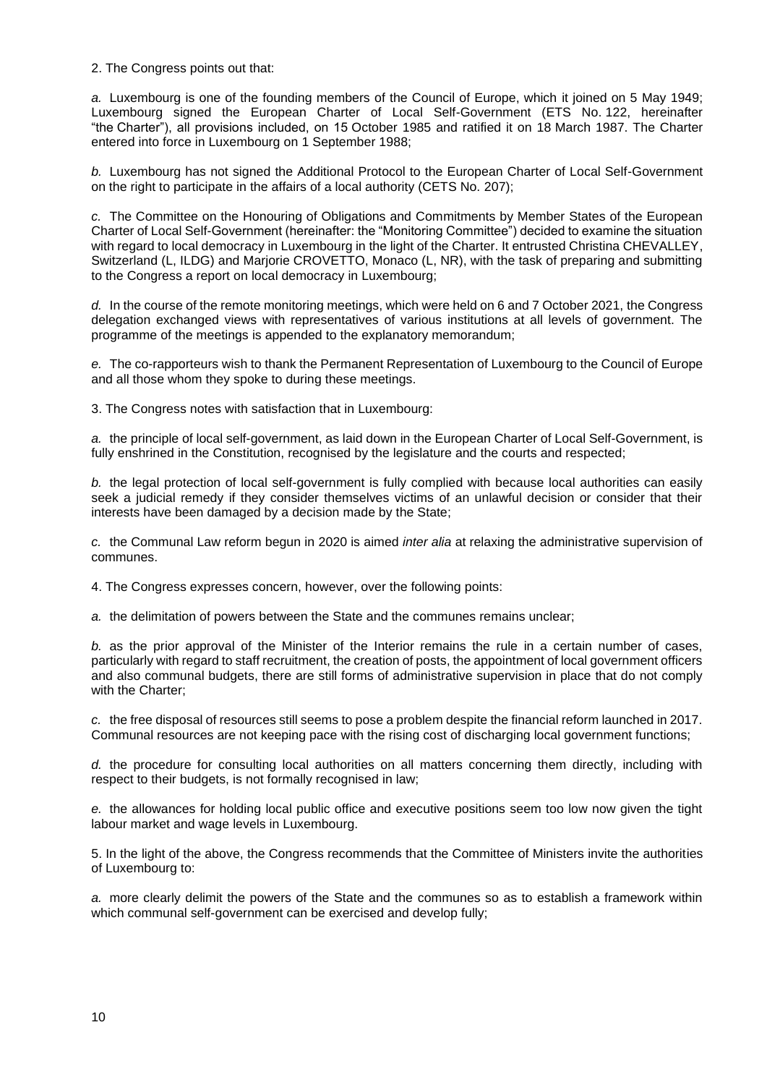2. The Congress points out that:

*a.* Luxembourg is one of the founding members of the Council of Europe, which it joined on 5 May 1949; Luxembourg signed the European Charter of Local Self-Government (ETS No. 122, hereinafter "the Charter"), all provisions included, on 15 October 1985 and ratified it on 18 March 1987. The Charter entered into force in Luxembourg on 1 September 1988;

*b.* Luxembourg has not signed the Additional Protocol to the European Charter of Local Self-Government on the right to participate in the affairs of a local authority (CETS No. 207);

*c.* The Committee on the Honouring of Obligations and Commitments by Member States of the European Charter of Local Self-Government (hereinafter: the "Monitoring Committee") decided to examine the situation with regard to local democracy in Luxembourg in the light of the Charter. It entrusted Christina CHEVALLEY, Switzerland (L, ILDG) and Marjorie CROVETTO, Monaco (L, NR), with the task of preparing and submitting to the Congress a report on local democracy in Luxembourg;

*d.* In the course of the remote monitoring meetings, which were held on 6 and 7 October 2021, the Congress delegation exchanged views with representatives of various institutions at all levels of government. The programme of the meetings is appended to the explanatory memorandum;

*e.* The co-rapporteurs wish to thank the Permanent Representation of Luxembourg to the Council of Europe and all those whom they spoke to during these meetings.

3. The Congress notes with satisfaction that in Luxembourg:

*a.* the principle of local self-government, as laid down in the European Charter of Local Self-Government, is fully enshrined in the Constitution, recognised by the legislature and the courts and respected;

*b.* the legal protection of local self-government is fully complied with because local authorities can easily seek a judicial remedy if they consider themselves victims of an unlawful decision or consider that their interests have been damaged by a decision made by the State;

*c.* the Communal Law reform begun in 2020 is aimed *inter alia* at relaxing the administrative supervision of communes.

4. The Congress expresses concern, however, over the following points:

*a.* the delimitation of powers between the State and the communes remains unclear;

*b.* as the prior approval of the Minister of the Interior remains the rule in a certain number of cases, particularly with regard to staff recruitment, the creation of posts, the appointment of local government officers and also communal budgets, there are still forms of administrative supervision in place that do not comply with the Charter;

*c.* the free disposal of resources still seems to pose a problem despite the financial reform launched in 2017. Communal resources are not keeping pace with the rising cost of discharging local government functions;

*d.* the procedure for consulting local authorities on all matters concerning them directly, including with respect to their budgets, is not formally recognised in law;

*e.* the allowances for holding local public office and executive positions seem too low now given the tight labour market and wage levels in Luxembourg.

5. In the light of the above, the Congress recommends that the Committee of Ministers invite the authorities of Luxembourg to:

*a.* more clearly delimit the powers of the State and the communes so as to establish a framework within which communal self-government can be exercised and develop fully;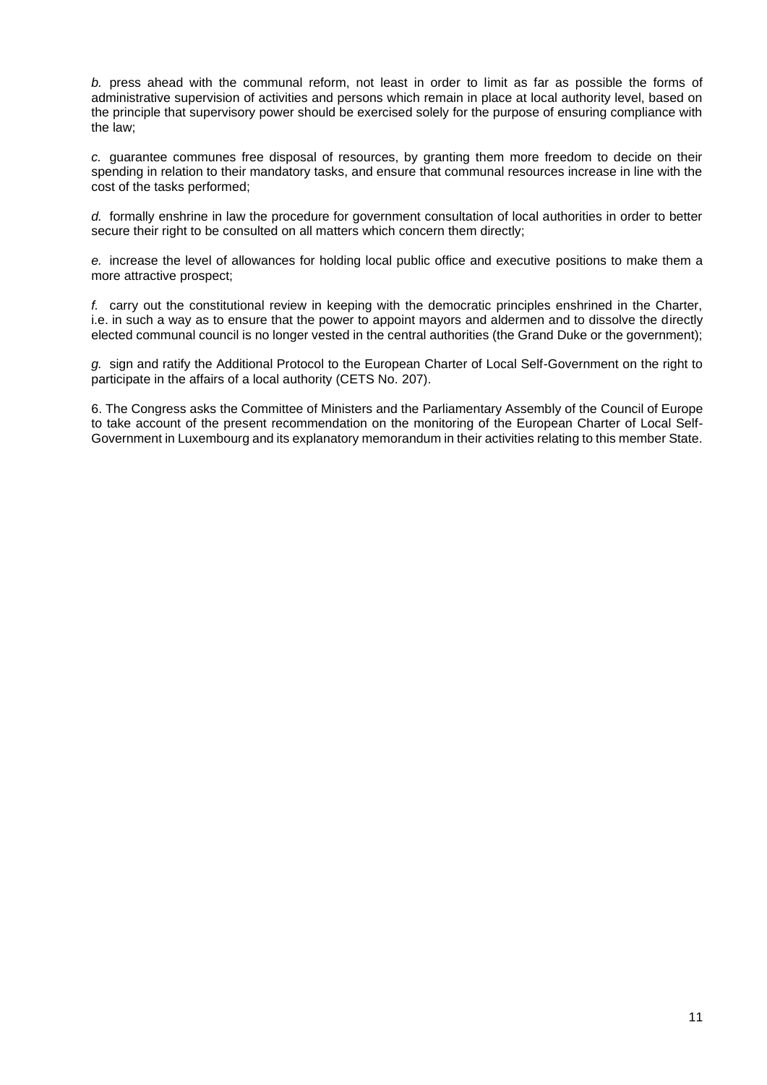*b.* press ahead with the communal reform, not least in order to limit as far as possible the forms of administrative supervision of activities and persons which remain in place at local authority level, based on the principle that supervisory power should be exercised solely for the purpose of ensuring compliance with the law;

*c.* guarantee communes free disposal of resources, by granting them more freedom to decide on their spending in relation to their mandatory tasks, and ensure that communal resources increase in line with the cost of the tasks performed;

*d.* formally enshrine in law the procedure for government consultation of local authorities in order to better secure their right to be consulted on all matters which concern them directly;

*e.* increase the level of allowances for holding local public office and executive positions to make them a more attractive prospect;

*f.* carry out the constitutional review in keeping with the democratic principles enshrined in the Charter, i.e. in such a way as to ensure that the power to appoint mayors and aldermen and to dissolve the directly elected communal council is no longer vested in the central authorities (the Grand Duke or the government);

*g.* sign and ratify the Additional Protocol to the European Charter of Local Self-Government on the right to participate in the affairs of a local authority (CETS No. 207).

6. The Congress asks the Committee of Ministers and the Parliamentary Assembly of the Council of Europe to take account of the present recommendation on the monitoring of the European Charter of Local Self-Government in Luxembourg and its explanatory memorandum in their activities relating to this member State.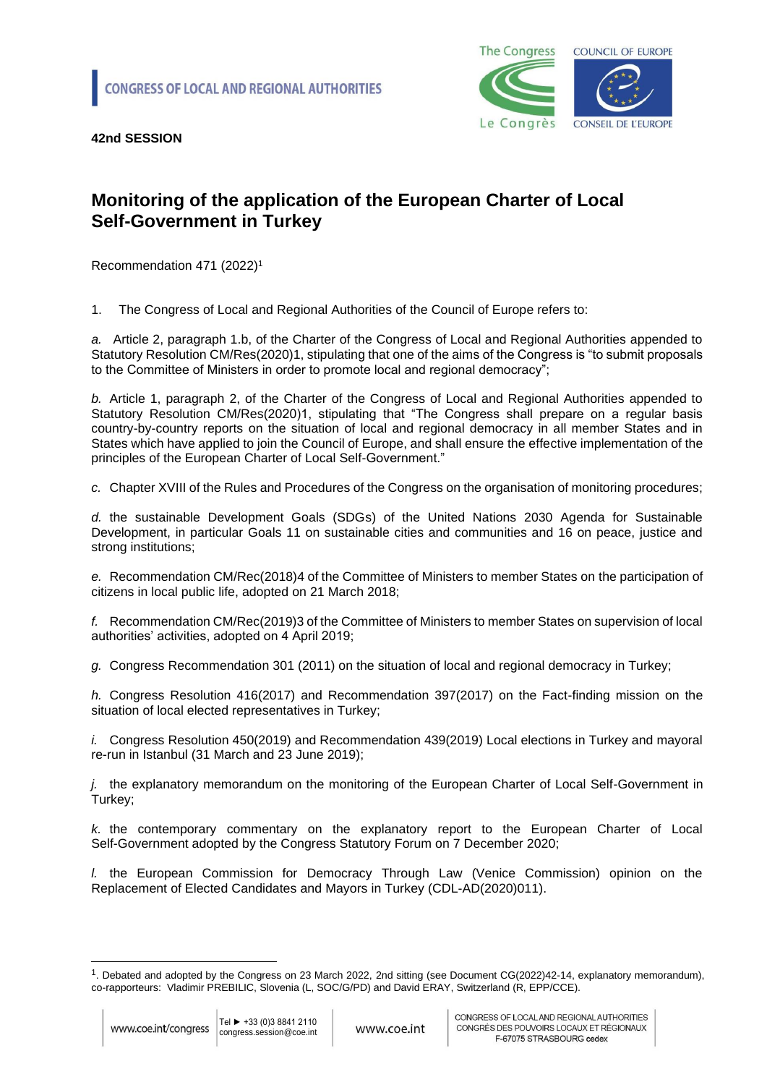

## **Monitoring of the application of the European Charter of Local Self-Government in Turkey**

Recommendation 471 (2022)<sup>1</sup>

1. The Congress of Local and Regional Authorities of the Council of Europe refers to:

*a.* Article 2, paragraph 1.b, of the Charter of the Congress of Local and Regional Authorities appended to Statutory Resolution CM/Res(2020)1, stipulating that one of the aims of the Congress is "to submit proposals to the Committee of Ministers in order to promote local and regional democracy";

*b.* Article 1, paragraph 2, of the Charter of the Congress of Local and Regional Authorities appended to Statutory Resolution CM/Res(2020)1, stipulating that "The Congress shall prepare on a regular basis country-by-country reports on the situation of local and regional democracy in all member States and in States which have applied to join the Council of Europe, and shall ensure the effective implementation of the principles of the European Charter of Local Self-Government."

*c.* Chapter XVIII of the Rules and Procedures of the Congress on the organisation of monitoring procedures;

*d.* the sustainable Development Goals (SDGs) of the United Nations 2030 Agenda for Sustainable Development, in particular Goals 11 on sustainable cities and communities and 16 on peace, justice and strong institutions;

*e.* Recommendation CM/Rec(2018)4 of the Committee of Ministers to member States on the participation of citizens in local public life, adopted on 21 March 2018;

*f.* Recommendation CM/Rec(2019)3 of the Committee of Ministers to member States on supervision of local authorities' activities, adopted on 4 April 2019;

*g.* Congress Recommendation 301 (2011) on the situation of local and regional democracy in Turkey;

*h.* Congress Resolution 416(2017) and Recommendation 397(2017) on the Fact-finding mission on the situation of local elected representatives in Turkey;

*i.* Congress Resolution 450(2019) and Recommendation 439(2019) Local elections in Turkey and mayoral re-run in Istanbul (31 March and 23 June 2019);

*j.* the explanatory memorandum on the monitoring of the European Charter of Local Self-Government in Turkey;

*k.* the contemporary commentary on the explanatory report to the European Charter of Local Self-Government adopted by the Congress Statutory Forum on 7 December 2020;

*l.* the European Commission for Democracy Through Law (Venice Commission) opinion on the Replacement of Elected Candidates and Mayors in Turkey (CDL-AD(2020)011).

<sup>1</sup> . Debated and adopted by the Congress on 23 March 2022, 2nd sitting (see Document CG(2022)42-14, explanatory memorandum), co-rapporteurs: Vladimir PREBILIC, Slovenia (L, SOC/G/PD) and David ERAY, Switzerland (R, EPP/CCE).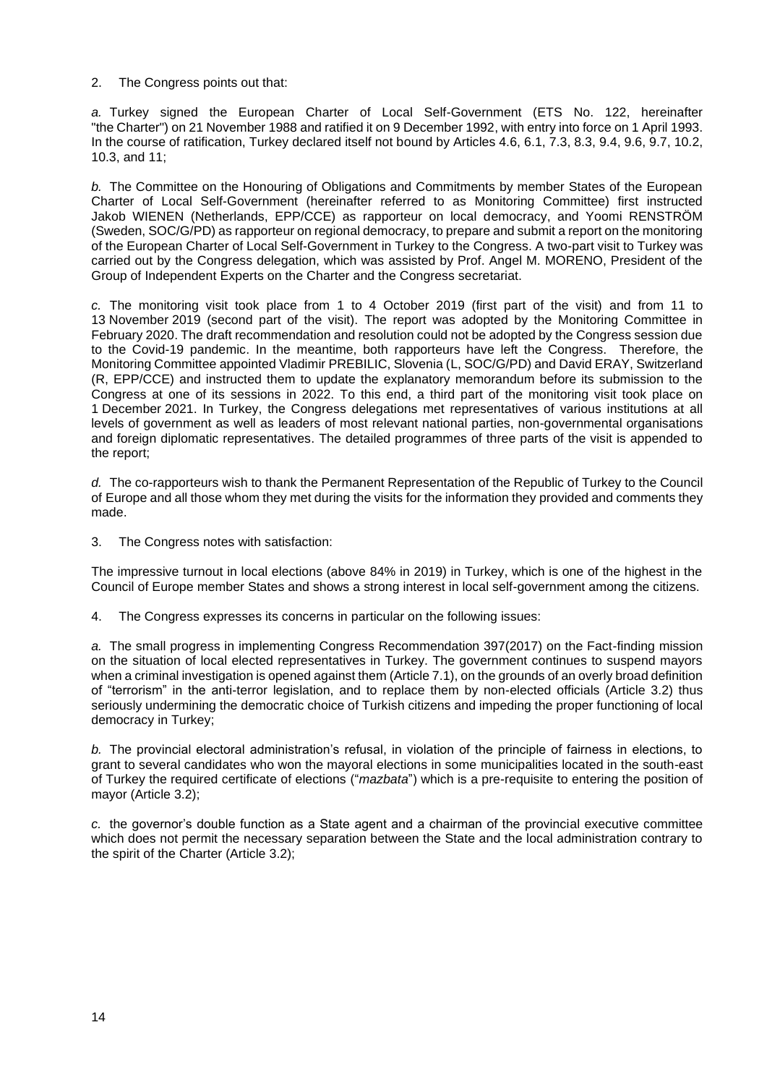2. The Congress points out that:

*a.* Turkey signed the European Charter of Local Self-Government (ETS No. 122, hereinafter "the Charter") on 21 November 1988 and ratified it on 9 December 1992, with entry into force on 1 April 1993. In the course of ratification, Turkey declared itself not bound by Articles 4.6, 6.1, 7.3, 8.3, 9.4, 9.6, 9.7, 10.2, 10.3, and 11;

*b.* The Committee on the Honouring of Obligations and Commitments by member States of the European Charter of Local Self-Government (hereinafter referred to as Monitoring Committee) first instructed Jakob WIENEN (Netherlands, EPP/CCE) as rapporteur on local democracy, and Yoomi RENSTRÖM (Sweden, SOC/G/PD) as rapporteur on regional democracy, to prepare and submit a report on the monitoring of the European Charter of Local Self-Government in Turkey to the Congress. A two-part visit to Turkey was carried out by the Congress delegation, which was assisted by Prof. Angel M. MORENO, President of the Group of Independent Experts on the Charter and the Congress secretariat.

*c.* The monitoring visit took place from 1 to 4 October 2019 (first part of the visit) and from 11 to 13 November 2019 (second part of the visit). The report was adopted by the Monitoring Committee in February 2020. The draft recommendation and resolution could not be adopted by the Congress session due to the Covid-19 pandemic. In the meantime, both rapporteurs have left the Congress. Therefore, the Monitoring Committee appointed Vladimir PREBILIC, Slovenia (L, SOC/G/PD) and David ERAY, Switzerland (R, EPP/CCE) and instructed them to update the explanatory memorandum before its submission to the Congress at one of its sessions in 2022. To this end, a third part of the monitoring visit took place on 1 December 2021. In Turkey, the Congress delegations met representatives of various institutions at all levels of government as well as leaders of most relevant national parties, non-governmental organisations and foreign diplomatic representatives. The detailed programmes of three parts of the visit is appended to the report;

*d.* The co-rapporteurs wish to thank the Permanent Representation of the Republic of Turkey to the Council of Europe and all those whom they met during the visits for the information they provided and comments they made.

3. The Congress notes with satisfaction:

The impressive turnout in local elections (above 84% in 2019) in Turkey, which is one of the highest in the Council of Europe member States and shows a strong interest in local self-government among the citizens.

4. The Congress expresses its concerns in particular on the following issues:

*a.* The small progress in implementing Congress Recommendation 397(2017) on the Fact-finding mission on the situation of local elected representatives in Turkey. The government continues to suspend mayors when a criminal investigation is opened against them (Article 7.1), on the grounds of an overly broad definition of "terrorism" in the anti-terror legislation, and to replace them by non-elected officials (Article 3.2) thus seriously undermining the democratic choice of Turkish citizens and impeding the proper functioning of local democracy in Turkey;

*b.* The provincial electoral administration's refusal, in violation of the principle of fairness in elections, to grant to several candidates who won the mayoral elections in some municipalities located in the south-east of Turkey the required certificate of elections ("*mazbata*") which is a pre-requisite to entering the position of mayor (Article 3.2);

*c.* the governor's double function as a State agent and a chairman of the provincial executive committee which does not permit the necessary separation between the State and the local administration contrary to the spirit of the Charter (Article 3.2);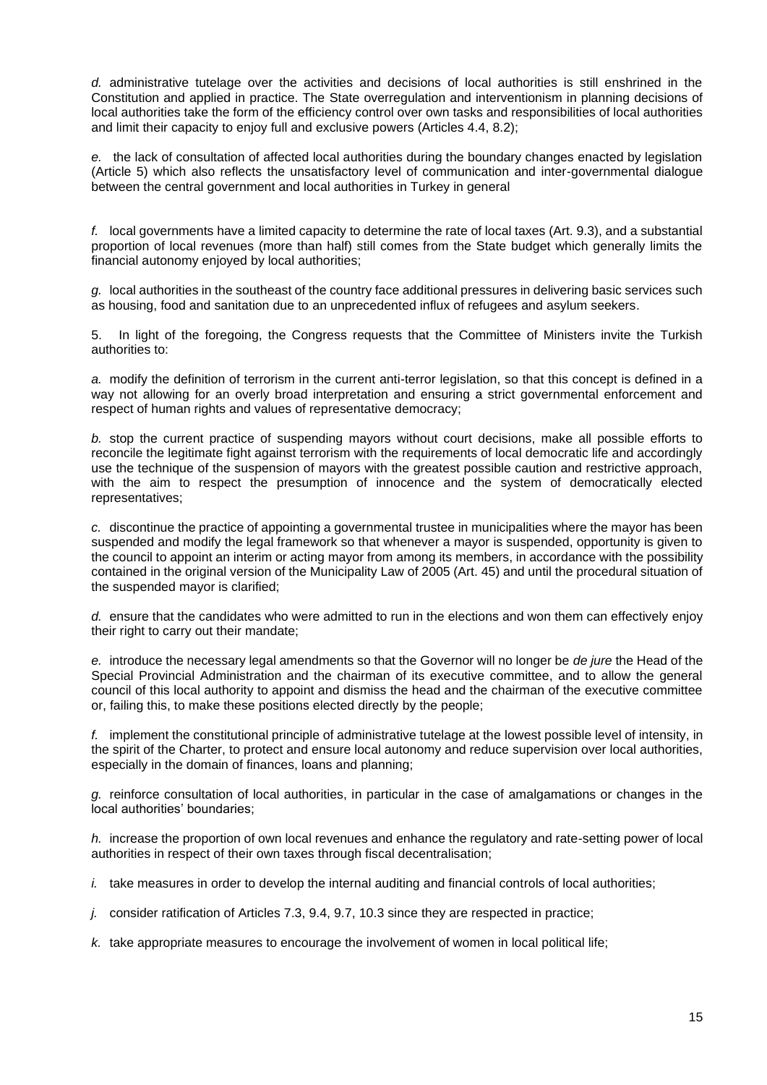*d.* administrative tutelage over the activities and decisions of local authorities is still enshrined in the Constitution and applied in practice. The State overregulation and interventionism in planning decisions of local authorities take the form of the efficiency control over own tasks and responsibilities of local authorities and limit their capacity to enjoy full and exclusive powers (Articles 4.4, 8.2);

*e.* the lack of consultation of affected local authorities during the boundary changes enacted by legislation (Article 5) which also reflects the unsatisfactory level of communication and inter-governmental dialogue between the central government and local authorities in Turkey in general

*f.* local governments have a limited capacity to determine the rate of local taxes (Art. 9.3), and a substantial proportion of local revenues (more than half) still comes from the State budget which generally limits the financial autonomy enjoyed by local authorities;

*g.* local authorities in the southeast of the country face additional pressures in delivering basic services such as housing, food and sanitation due to an unprecedented influx of refugees and asylum seekers.

5. In light of the foregoing, the Congress requests that the Committee of Ministers invite the Turkish authorities to:

*a.* modify the definition of terrorism in the current anti-terror legislation, so that this concept is defined in a way not allowing for an overly broad interpretation and ensuring a strict governmental enforcement and respect of human rights and values of representative democracy;

*b.* stop the current practice of suspending mayors without court decisions, make all possible efforts to reconcile the legitimate fight against terrorism with the requirements of local democratic life and accordingly use the technique of the suspension of mayors with the greatest possible caution and restrictive approach, with the aim to respect the presumption of innocence and the system of democratically elected representatives;

*c.* discontinue the practice of appointing a governmental trustee in municipalities where the mayor has been suspended and modify the legal framework so that whenever a mayor is suspended, opportunity is given to the council to appoint an interim or acting mayor from among its members, in accordance with the possibility contained in the original version of the Municipality Law of 2005 (Art. 45) and until the procedural situation of the suspended mayor is clarified;

*d.* ensure that the candidates who were admitted to run in the elections and won them can effectively enjoy their right to carry out their mandate;

*e.* introduce the necessary legal amendments so that the Governor will no longer be *de jure* the Head of the Special Provincial Administration and the chairman of its executive committee, and to allow the general council of this local authority to appoint and dismiss the head and the chairman of the executive committee or, failing this, to make these positions elected directly by the people;

*f.* implement the constitutional principle of administrative tutelage at the lowest possible level of intensity, in the spirit of the Charter, to protect and ensure local autonomy and reduce supervision over local authorities, especially in the domain of finances, loans and planning;

*g.* reinforce consultation of local authorities, in particular in the case of amalgamations or changes in the local authorities' boundaries;

*h.* increase the proportion of own local revenues and enhance the regulatory and rate-setting power of local authorities in respect of their own taxes through fiscal decentralisation;

*i.* take measures in order to develop the internal auditing and financial controls of local authorities;

*j.* consider ratification of Articles 7.3, 9.4, 9.7, 10.3 since they are respected in practice;

*k.* take appropriate measures to encourage the involvement of women in local political life;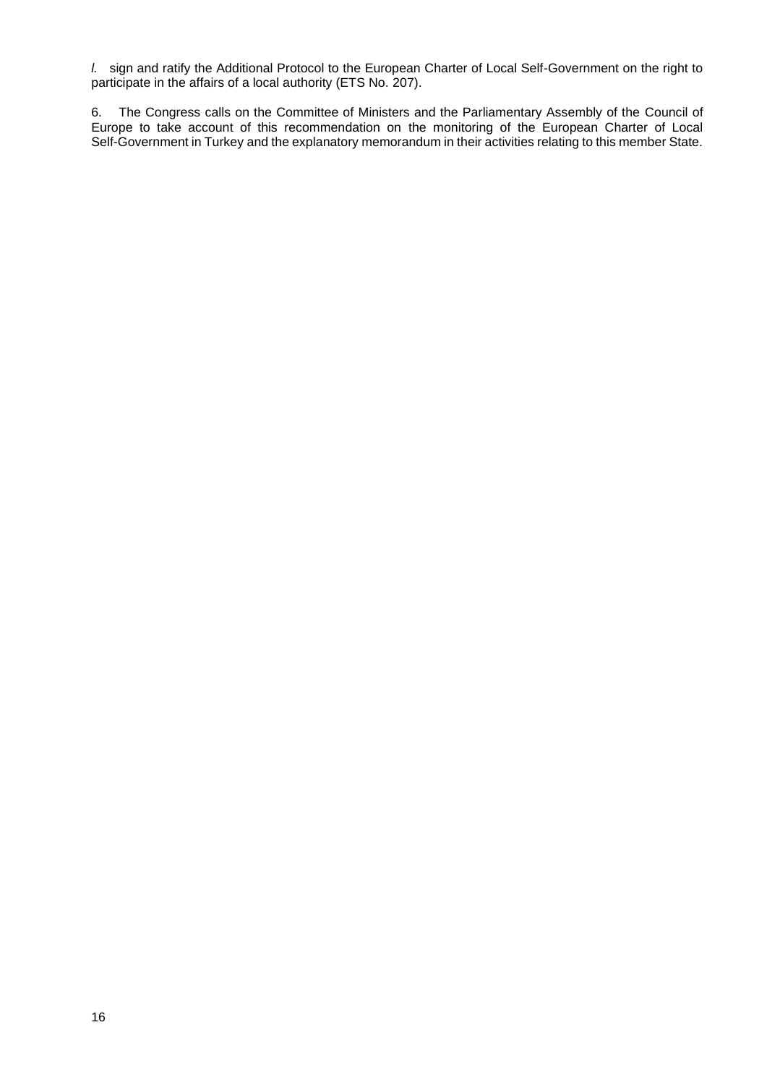*l.* sign and ratify the Additional Protocol to the European Charter of Local Self-Government on the right to participate in the affairs of a local authority (ETS No. 207).

6. The Congress calls on the Committee of Ministers and the Parliamentary Assembly of the Council of Europe to take account of this recommendation on the monitoring of the European Charter of Local Self-Government in Turkey and the explanatory memorandum in their activities relating to this member State.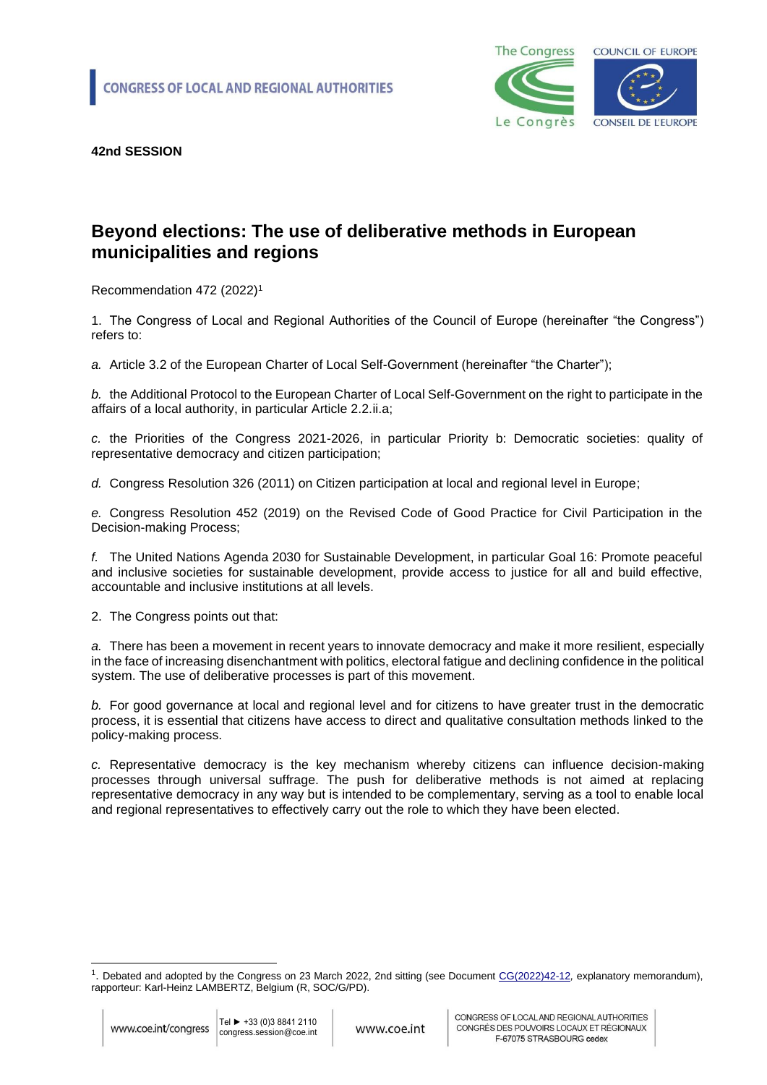

### **Beyond elections: The use of deliberative methods in European municipalities and regions**

Recommendation 472 (2022)<sup>1</sup>

1. The Congress of Local and Regional Authorities of the Council of Europe (hereinafter "the Congress") refers to:

*a.* Article 3.2 of the European Charter of Local Self-Government (hereinafter "the Charter");

*b.* the Additional Protocol to the European Charter of Local Self-Government on the right to participate in the affairs of a local authority, in particular Article 2.2.ii.a;

*c.* the Priorities of the Congress 2021-2026, in particular Priority b: Democratic societies: quality of representative democracy and citizen participation;

*d.* Congress Resolution 326 (2011) on Citizen participation at local and regional level in Europe;

*e.* Congress Resolution 452 (2019) on the Revised Code of Good Practice for Civil Participation in the Decision-making Process;

*f.* The United Nations Agenda 2030 for Sustainable Development, in particular Goal 16: Promote peaceful and inclusive societies for sustainable development, provide access to justice for all and build effective, accountable and inclusive institutions at all levels.

2. The Congress points out that:

*a.* There has been a movement in recent years to innovate democracy and make it more resilient, especially in the face of increasing disenchantment with politics, electoral fatigue and declining confidence in the political system. The use of deliberative processes is part of this movement.

*b.* For good governance at local and regional level and for citizens to have greater trust in the democratic process, it is essential that citizens have access to direct and qualitative consultation methods linked to the policy-making process.

*c.* Representative democracy is the key mechanism whereby citizens can influence decision-making processes through universal suffrage. The push for deliberative methods is not aimed at replacing representative democracy in any way but is intended to be complementary, serving as a tool to enable local and regional representatives to effectively carry out the role to which they have been elected.

<sup>&</sup>lt;sup>1</sup>. Debated and adopted by the Congress on 23 March 2022, 2nd sitting (see Document [CG\(2022\)42-12](https://rm.coe.int/cg-2022-42-12-en-beyond-elections-the-use-of-deliberative-methods-in-e/1680a5b00d), explanatory memorandum), rapporteur: Karl-Heinz LAMBERTZ, Belgium (R, SOC/G/PD).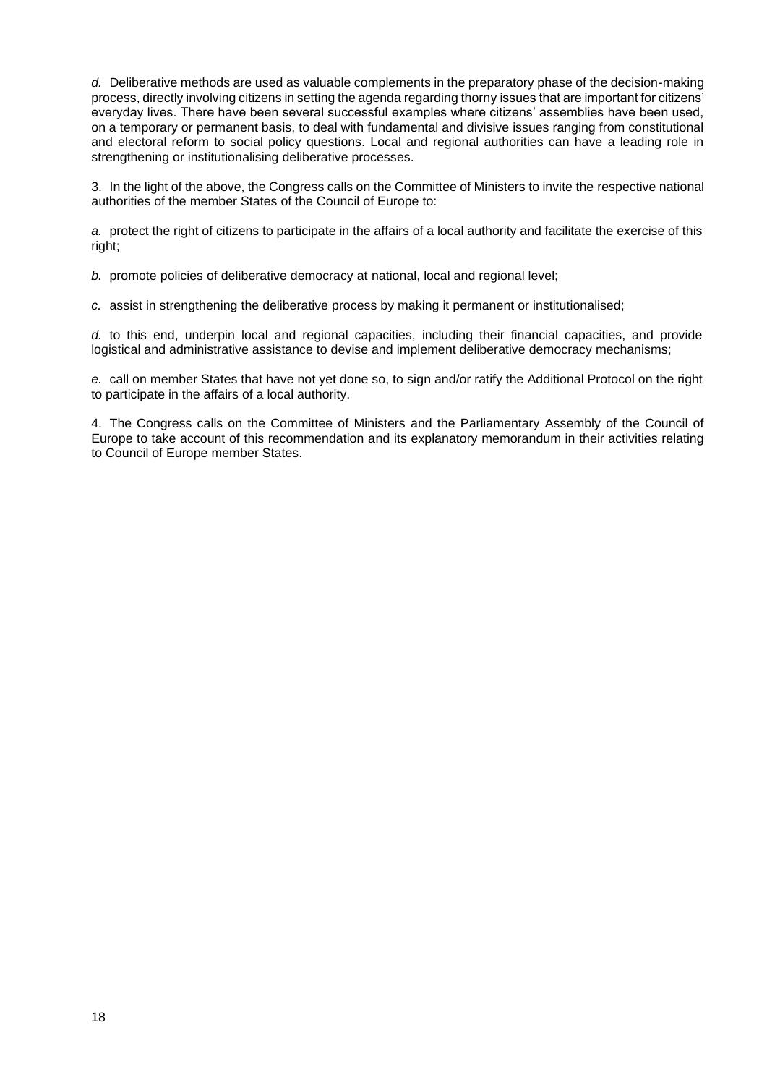*d.* Deliberative methods are used as valuable complements in the preparatory phase of the decision-making process, directly involving citizens in setting the agenda regarding thorny issues that are important for citizens' everyday lives. There have been several successful examples where citizens' assemblies have been used, on a temporary or permanent basis, to deal with fundamental and divisive issues ranging from constitutional and electoral reform to social policy questions. Local and regional authorities can have a leading role in strengthening or institutionalising deliberative processes.

3. In the light of the above, the Congress calls on the Committee of Ministers to invite the respective national authorities of the member States of the Council of Europe to:

*a.* protect the right of citizens to participate in the affairs of a local authority and facilitate the exercise of this right;

*b.* promote policies of deliberative democracy at national, local and regional level;

*c.* assist in strengthening the deliberative process by making it permanent or institutionalised;

*d.* to this end, underpin local and regional capacities, including their financial capacities, and provide logistical and administrative assistance to devise and implement deliberative democracy mechanisms;

*e.* call on member States that have not yet done so, to sign and/or ratify the Additional Protocol on the right to participate in the affairs of a local authority.

4. The Congress calls on the Committee of Ministers and the Parliamentary Assembly of the Council of Europe to take account of this recommendation and its explanatory memorandum in their activities relating to Council of Europe member States.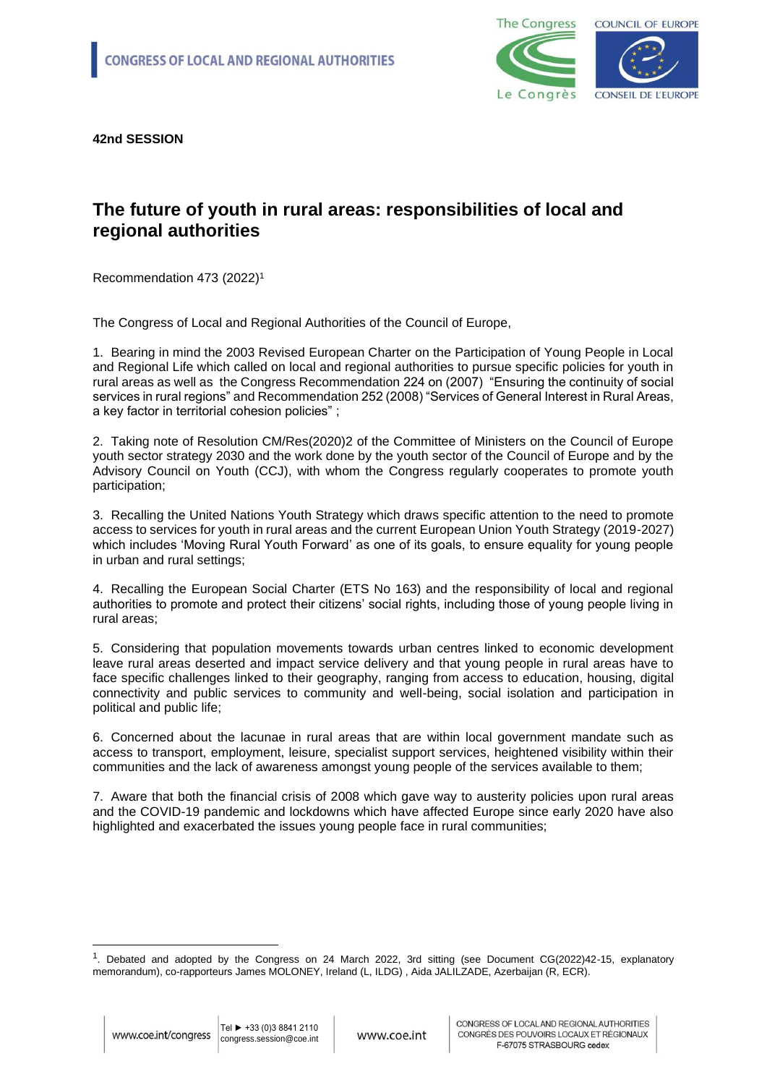

#### **The future of youth in rural areas: responsibilities of local and regional authorities**

Recommendation 473 (2022)<sup>1</sup>

The Congress of Local and Regional Authorities of the Council of Europe,

1. Bearing in mind the 2003 Revised European Charter on the Participation of Young People in Local and Regional Life which called on local and regional authorities to pursue specific policies for youth in rural areas as well as the Congress Recommendation [224 on \(2007\) "Ensuring the continuity of social](https://search.coe.int/congress/Pages/result_details.aspx?ObjectId=090000168071afe4)  [services in rural regions"](https://search.coe.int/congress/Pages/result_details.aspx?ObjectId=090000168071afe4) and Recommendatio[n 252 \(2008\) "Services of General Interest in Rural Areas,](https://search.coe.int/congress/Pages/result_details.aspx?ObjectId=0900001680719a4f)  [a key factor in territorial cohesion policies"](https://search.coe.int/congress/Pages/result_details.aspx?ObjectId=0900001680719a4f) ;

2. Taking note of Resolution CM/Res(2020)2 of the Committee of Ministers on the Council of Europe youth sector strategy 2030 and the work done by the youth sector of the Council of Europe and by the Advisory Council on Youth (CCJ), with whom the Congress regularly cooperates to promote youth participation;

3. Recalling the United Nations Youth Strategy which draws specific attention to the need to promote access to services for youth in rural areas and the current European Union Youth Strategy (2019-2027) which includes 'Moving Rural Youth Forward' as one of its goals, to ensure equality for young people in urban and rural settings;

4. Recalling the European Social Charter (ETS No 163) and the responsibility of local and regional authorities to promote and protect their citizens' social rights, including those of young people living in rural areas;

5. Considering that population movements towards urban centres linked to economic development leave rural areas deserted and impact service delivery and that young people in rural areas have to face specific challenges linked to their geography, ranging from access to education, housing, digital connectivity and public services to community and well-being, social isolation and participation in political and public life;

6. Concerned about the lacunae in rural areas that are within local government mandate such as access to transport, employment, leisure, specialist support services, heightened visibility within their communities and the lack of awareness amongst young people of the services available to them;

7. Aware that both the financial crisis of 2008 which gave way to austerity policies upon rural areas and the COVID-19 pandemic and lockdowns which have affected Europe since early 2020 have also highlighted and exacerbated the issues young people face in rural communities;

<sup>1</sup> . Debated and adopted by the Congress on 24 March 2022, 3rd sitting (see Document CG(2022)42-15, explanatory memorandum), co-rapporteurs James MOLONEY, Ireland (L, ILDG) , Aida JALILZADE, Azerbaijan (R, ECR).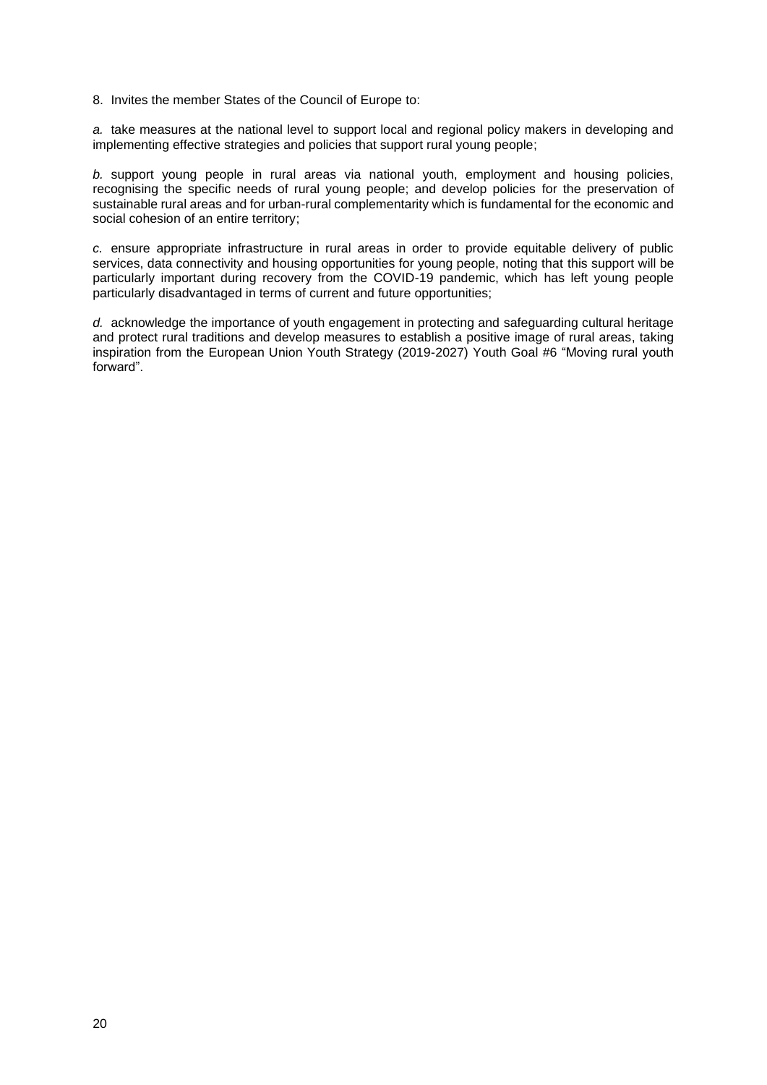8. Invites the member States of the Council of Europe to:

*a.* take measures at the national level to support local and regional policy makers in developing and implementing effective strategies and policies that support rural young people;

*b.* support young people in rural areas via national youth, employment and housing policies, recognising the specific needs of rural young people; and develop policies for the preservation of sustainable rural areas and for urban-rural complementarity which is fundamental for the economic and social cohesion of an entire territory;

*c.* ensure appropriate infrastructure in rural areas in order to provide equitable delivery of public services, data connectivity and housing opportunities for young people, noting that this support will be particularly important during recovery from the COVID-19 pandemic, which has left young people particularly disadvantaged in terms of current and future opportunities;

*d.* acknowledge the importance of youth engagement in protecting and safeguarding cultural heritage and protect rural traditions and develop measures to establish a positive image of rural areas, taking inspiration from the European Union Youth Strategy (2019-2027) Youth Goal #6 "Moving rural youth forward".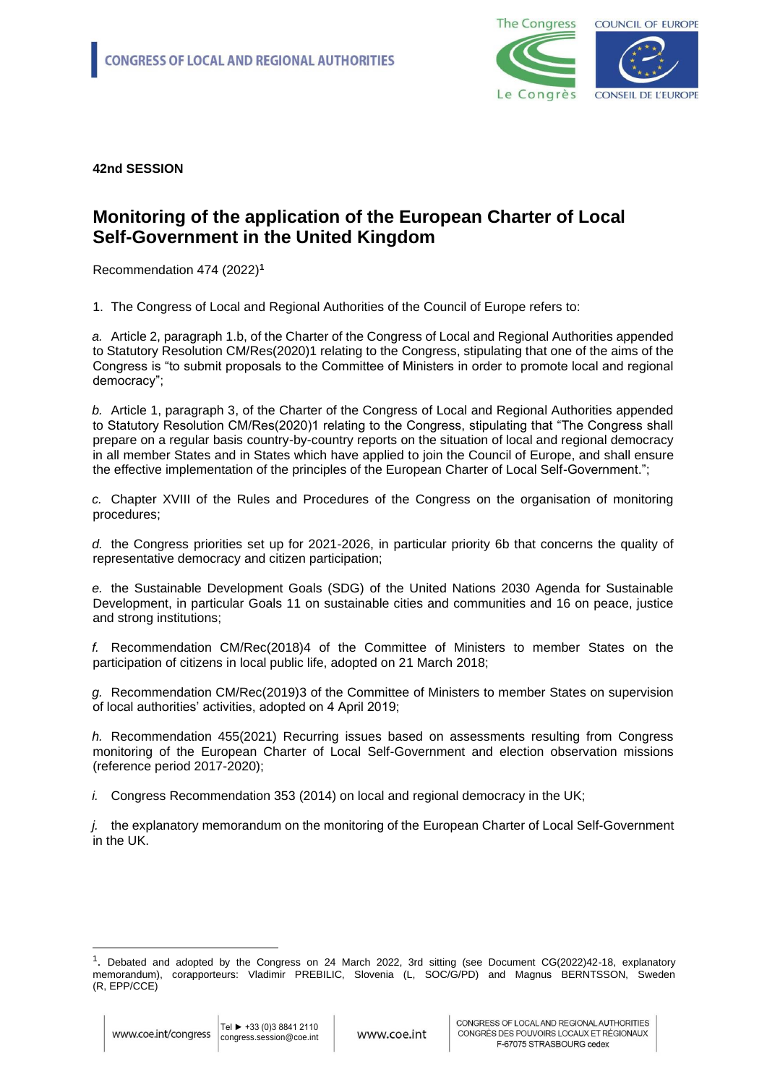

### **Monitoring of the application of the European Charter of Local Self-Government in the United Kingdom**

Recommendation 474 (2022)**<sup>1</sup>**

1. The Congress of Local and Regional Authorities of the Council of Europe refers to:

*a.* Article 2, paragraph 1.b, of the Charter of the Congress of Local and Regional Authorities appended to Statutory Resolution CM/Res(2020)1 relating to the Congress, stipulating that one of the aims of the Congress is "to submit proposals to the Committee of Ministers in order to promote local and regional democracy";

*b.* Article 1, paragraph 3, of the Charter of the Congress of Local and Regional Authorities appended to Statutory Resolution CM/Res(2020)1 relating to the Congress, stipulating that "The Congress shall prepare on a regular basis country-by-country reports on the situation of local and regional democracy in all member States and in States which have applied to join the Council of Europe, and shall ensure the effective implementation of the principles of the European Charter of Local Self-Government.";

*c.* Chapter XVIII of the Rules and Procedures of the Congress on the organisation of monitoring procedures;

*d.* the Congress priorities set up for 2021-2026, in particular priority 6b that concerns the quality of representative democracy and citizen participation;

*e.* the Sustainable Development Goals (SDG) of the United Nations 2030 Agenda for Sustainable Development, in particular Goals 11 on sustainable cities and communities and 16 on peace, justice and strong institutions;

*f.* Recommendation CM/Rec(2018)4 of the Committee of Ministers to member States on the participation of citizens in local public life, adopted on 21 March 2018;

*g.* Recommendation CM/Rec(2019)3 of the Committee of Ministers to member States on supervision of local authorities' activities, adopted on 4 April 2019;

*h.* Recommendation 455(2021) Recurring issues based on assessments resulting from Congress monitoring of the European Charter of Local Self-Government and election observation missions (reference period 2017-2020);

*i.* Congress Recommendation 353 (2014) on local and regional democracy in the UK;

*j.* the explanatory memorandum on the monitoring of the European Charter of Local Self-Government in the UK.

<sup>1</sup> . Debated and adopted by the Congress on 24 March 2022, 3rd sitting (see Document CG(2022)42-18, explanatory memorandum), corapporteurs: Vladimir PREBILIC, Slovenia (L, SOC/G/PD) and Magnus BERNTSSON, Sweden (R, EPP/CCE)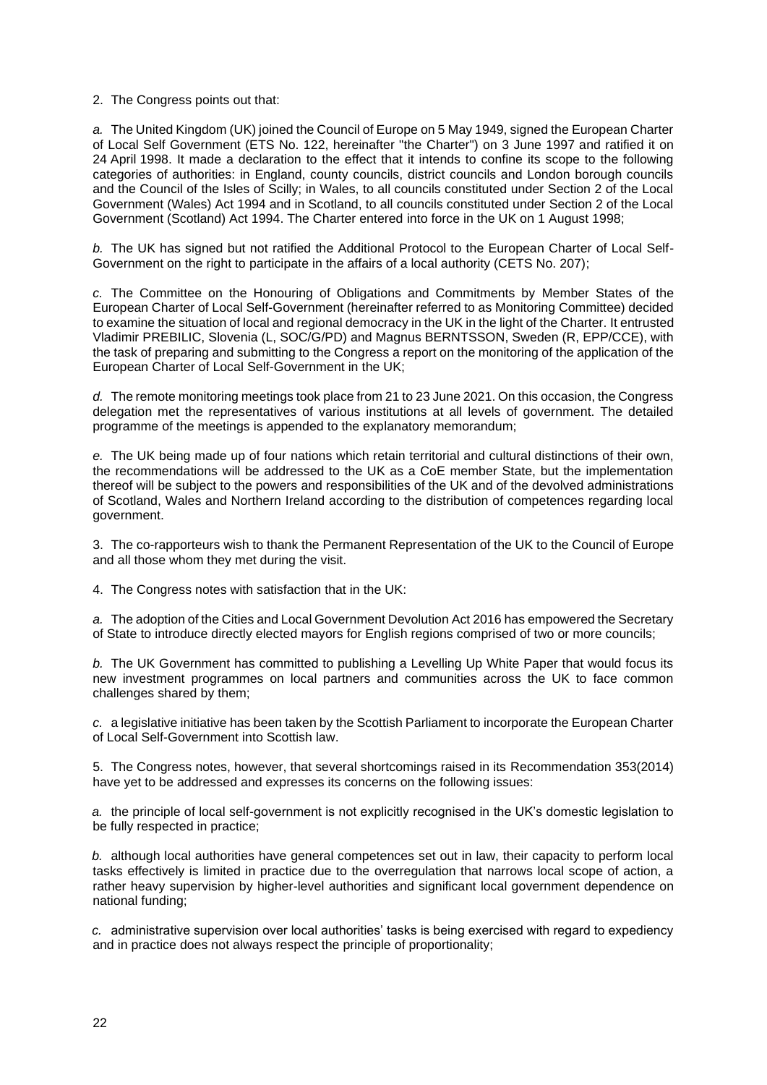2. The Congress points out that:

*a.* The United Kingdom (UK) joined the Council of Europe on 5 May 1949, signed the European Charter of Local Self Government (ETS No. 122, hereinafter "the Charter") on 3 June 1997 and ratified it on 24 April 1998. It made a declaration to the effect that it intends to confine its scope to the following categories of authorities: in England, county councils, district councils and London borough councils and the Council of the Isles of Scilly; in Wales, to all councils constituted under Section 2 of the Local Government (Wales) Act 1994 and in Scotland, to all councils constituted under Section 2 of the Local Government (Scotland) Act 1994. The Charter entered into force in the UK on 1 August 1998;

*b.* The UK has signed but not ratified the Additional Protocol to the European Charter of Local Self-Government on the right to participate in the affairs of a local authority (CETS No. 207);

*c.* The Committee on the Honouring of Obligations and Commitments by Member States of the European Charter of Local Self-Government (hereinafter referred to as Monitoring Committee) decided to examine the situation of local and regional democracy in the UK in the light of the Charter. It entrusted Vladimir PREBILIC, Slovenia (L, SOC/G/PD) and Magnus BERNTSSON, Sweden (R, EPP/CCE), with the task of preparing and submitting to the Congress a report on the monitoring of the application of the European Charter of Local Self-Government in the UK;

*d.* The remote monitoring meetings took place from 21 to 23 June 2021. On this occasion, the Congress delegation met the representatives of various institutions at all levels of government. The detailed programme of the meetings is appended to the explanatory memorandum;

*e.* The UK being made up of four nations which retain territorial and cultural distinctions of their own, the recommendations will be addressed to the UK as a CoE member State, but the implementation thereof will be subject to the powers and responsibilities of the UK and of the devolved administrations of Scotland, Wales and Northern Ireland according to the distribution of competences regarding local government.

3. The co-rapporteurs wish to thank the Permanent Representation of the UK to the Council of Europe and all those whom they met during the visit.

4. The Congress notes with satisfaction that in the UK:

*a.* The adoption of the Cities and Local Government Devolution Act 2016 has empowered the Secretary of State to introduce directly elected mayors for English regions comprised of two or more councils;

*b.* The UK Government has committed to publishing a Levelling Up White Paper that would focus its new investment programmes on local partners and communities across the UK to face common challenges shared by them;

*c.* a legislative initiative has been taken by the Scottish Parliament to incorporate the European Charter of Local Self-Government into Scottish law.

5. The Congress notes, however, that several shortcomings raised in its Recommendation 353(2014) have yet to be addressed and expresses its concerns on the following issues:

*a.* the principle of local self-government is not explicitly recognised in the UK's domestic legislation to be fully respected in practice;

*b.* although local authorities have general competences set out in law, their capacity to perform local tasks effectively is limited in practice due to the overregulation that narrows local scope of action, a rather heavy supervision by higher-level authorities and significant local government dependence on national funding;

*c.* administrative supervision over local authorities' tasks is being exercised with regard to expediency and in practice does not always respect the principle of proportionality;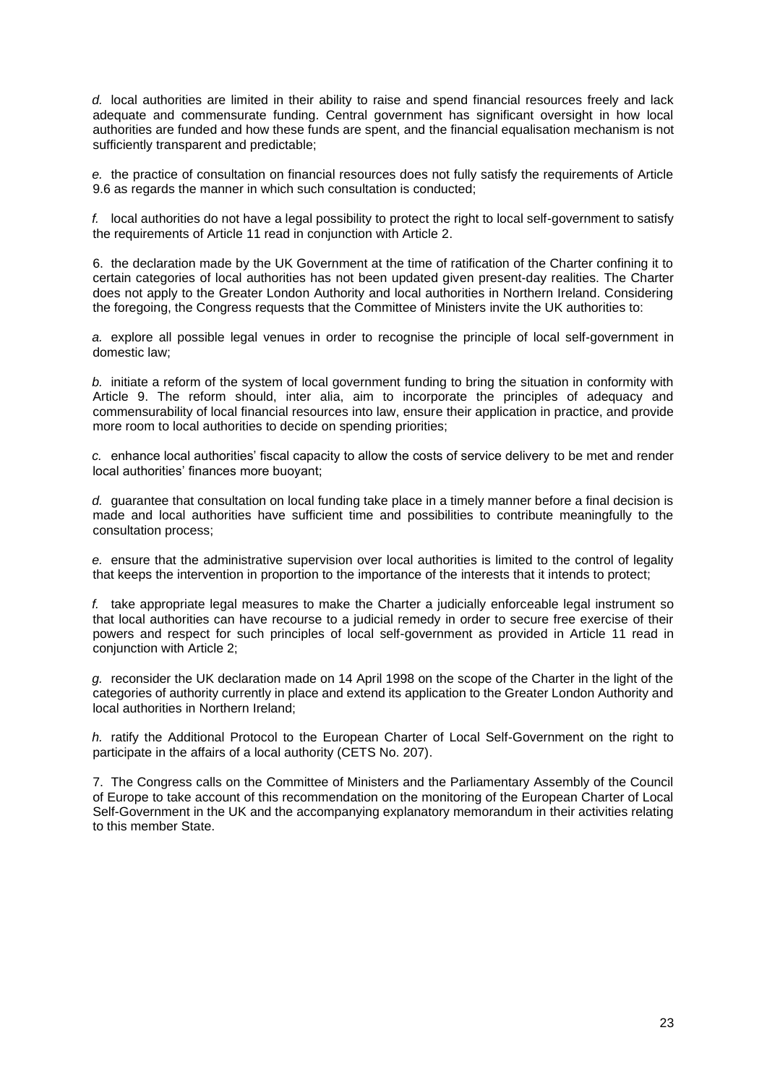*d.* local authorities are limited in their ability to raise and spend financial resources freely and lack adequate and commensurate funding. Central government has significant oversight in how local authorities are funded and how these funds are spent, and the financial equalisation mechanism is not sufficiently transparent and predictable;

*e.* the practice of consultation on financial resources does not fully satisfy the requirements of Article 9.6 as regards the manner in which such consultation is conducted;

*f.* local authorities do not have a legal possibility to protect the right to local self-government to satisfy the requirements of Article 11 read in conjunction with Article 2.

6. the declaration made by the UK Government at the time of ratification of the Charter confining it to certain categories of local authorities has not been updated given present-day realities. The Charter does not apply to the Greater London Authority and local authorities in Northern Ireland. Considering the foregoing, the Congress requests that the Committee of Ministers invite the UK authorities to:

*a.* explore all possible legal venues in order to recognise the principle of local self-government in domestic law;

*b.* initiate a reform of the system of local government funding to bring the situation in conformity with Article 9. The reform should, inter alia, aim to incorporate the principles of adequacy and commensurability of local financial resources into law, ensure their application in practice, and provide more room to local authorities to decide on spending priorities;

*c.* enhance local authorities' fiscal capacity to allow the costs of service delivery to be met and render local authorities' finances more buoyant;

*d.* guarantee that consultation on local funding take place in a timely manner before a final decision is made and local authorities have sufficient time and possibilities to contribute meaningfully to the consultation process;

*e.* ensure that the administrative supervision over local authorities is limited to the control of legality that keeps the intervention in proportion to the importance of the interests that it intends to protect;

*f.* take appropriate legal measures to make the Charter a judicially enforceable legal instrument so that local authorities can have recourse to a judicial remedy in order to secure free exercise of their powers and respect for such principles of local self-government as provided in Article 11 read in conjunction with Article 2;

*g.* reconsider the UK declaration made on 14 April 1998 on the scope of the Charter in the light of the categories of authority currently in place and extend its application to the Greater London Authority and local authorities in Northern Ireland;

*h.* ratify the Additional Protocol to the European Charter of Local Self-Government on the right to participate in the affairs of a local authority (CETS No. 207).

7. The Congress calls on the Committee of Ministers and the Parliamentary Assembly of the Council of Europe to take account of this recommendation on the monitoring of the European Charter of Local Self-Government in the UK and the accompanying explanatory memorandum in their activities relating to this member State.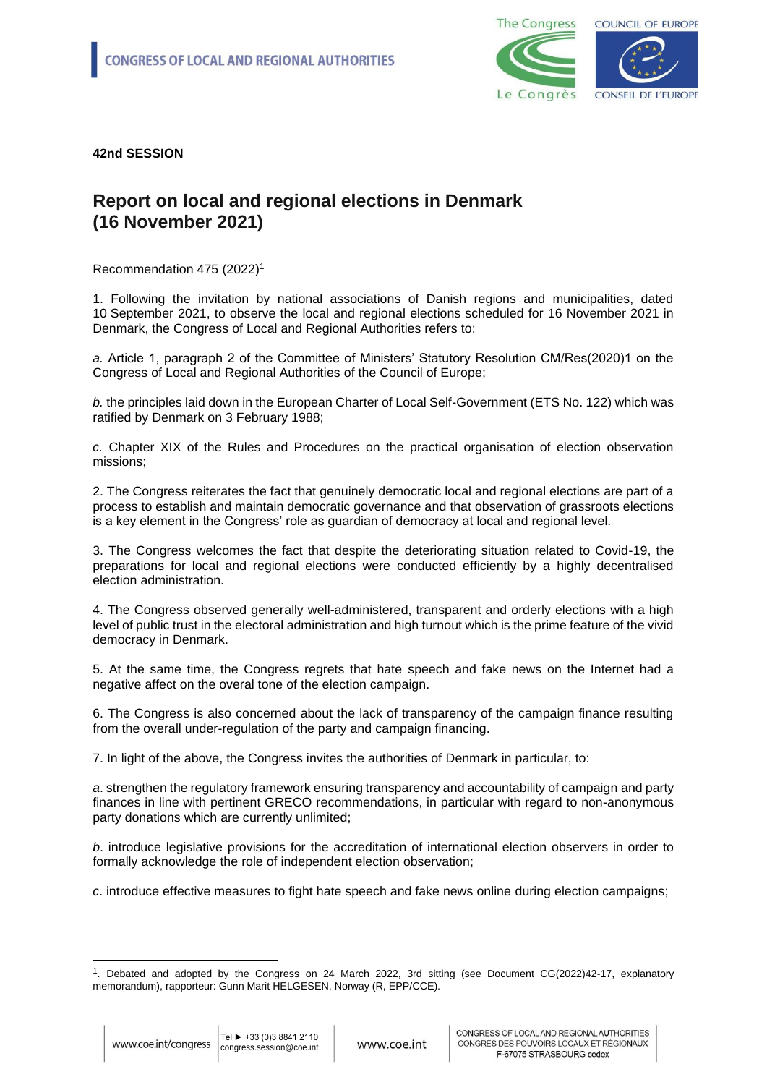

## **Report on local and regional elections in Denmark (16 November 2021)**

Recommendation 475 (2022)<sup>1</sup>

1. Following the invitation by national associations of Danish regions and municipalities, dated 10 September 2021, to observe the local and regional elections scheduled for 16 November 2021 in Denmark, the Congress of Local and Regional Authorities refers to:

*a.* Article 1, paragraph 2 of the Committee of Ministers' Statutory Resolution CM/Res(2020)1 on the Congress of Local and Regional Authorities of the Council of Europe;

*b.* the principles laid down in the European Charter of Local Self-Government (ETS No. 122) which was ratified by Denmark on 3 February 1988;

*c.* Chapter XIX of the Rules and Procedures on the practical organisation of election observation missions;

2. The Congress reiterates the fact that genuinely democratic local and regional elections are part of a process to establish and maintain democratic governance and that observation of grassroots elections is a key element in the Congress' role as guardian of democracy at local and regional level.

3. The Congress welcomes the fact that despite the deteriorating situation related to Covid-19, the preparations for local and regional elections were conducted efficiently by a highly decentralised election administration.

4. The Congress observed generally well-administered, transparent and orderly elections with a high level of public trust in the electoral administration and high turnout which is the prime feature of the vivid democracy in Denmark.

5. At the same time, the Congress regrets that hate speech and fake news on the Internet had a negative affect on the overal tone of the election campaign.

6. The Congress is also concerned about the lack of transparency of the campaign finance resulting from the overall under-regulation of the party and campaign financing.

7. In light of the above, the Congress invites the authorities of Denmark in particular, to:

*a*. strengthen the regulatory framework ensuring transparency and accountability of campaign and party finances in line with pertinent GRECO recommendations, in particular with regard to non-anonymous party donations which are currently unlimited;

*b*. introduce legislative provisions for the accreditation of international election observers in order to formally acknowledge the role of independent election observation;

*c*. introduce effective measures to fight hate speech and fake news online during election campaigns;

<sup>1</sup> . Debated and adopted by the Congress on 24 March 2022, 3rd sitting (see Document CG(2022)42-17, explanatory memorandum), rapporteur: Gunn Marit HELGESEN, Norway (R, EPP/CCE).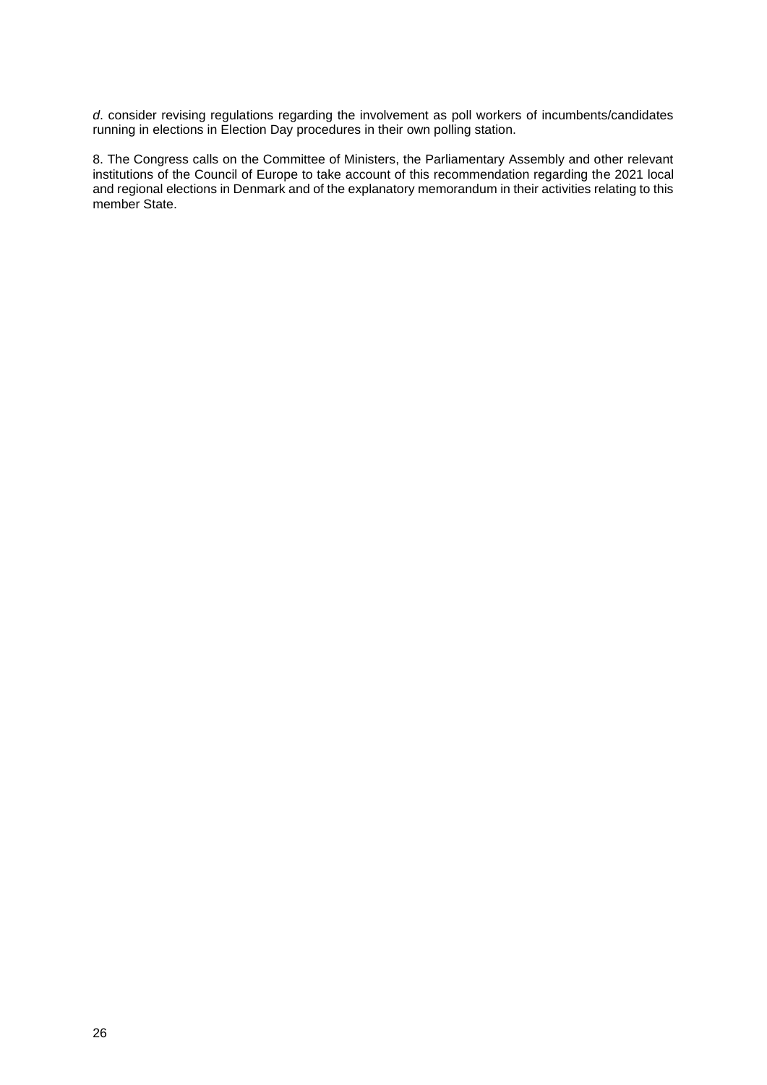*d*. consider revising regulations regarding the involvement as poll workers of incumbents/candidates running in elections in Election Day procedures in their own polling station.

8. The Congress calls on the Committee of Ministers, the Parliamentary Assembly and other relevant institutions of the Council of Europe to take account of this recommendation regarding the 2021 local and regional elections in Denmark and of the explanatory memorandum in their activities relating to this member State.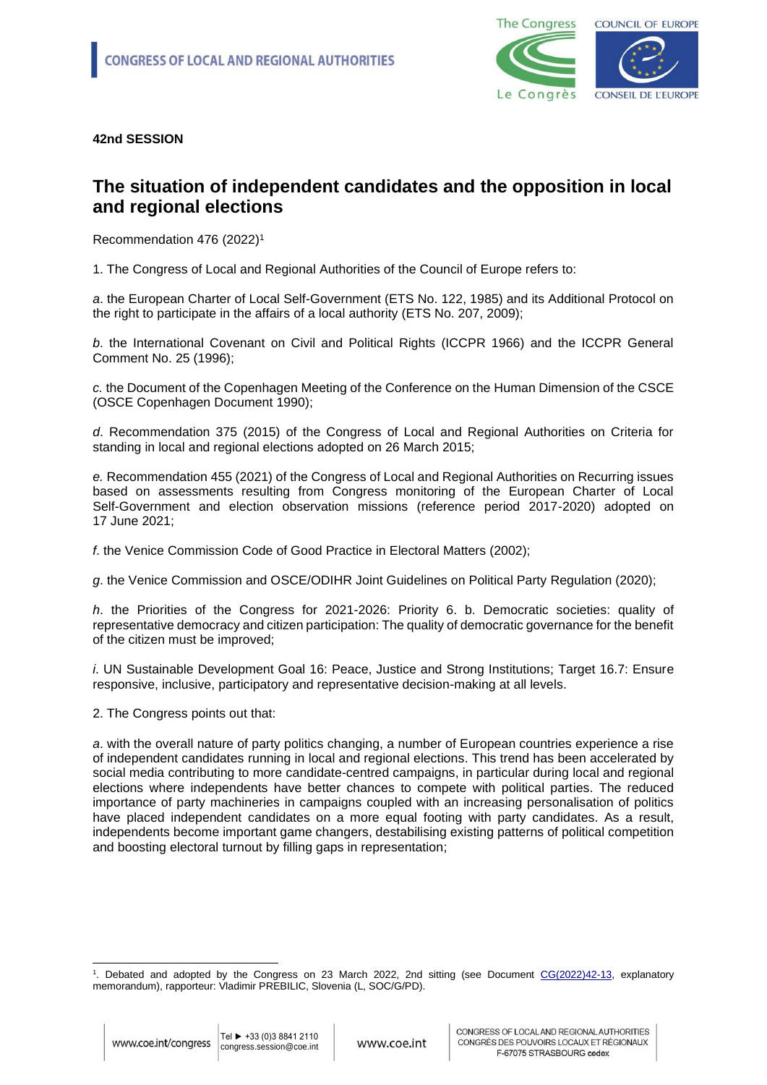

### **The situation of independent candidates and the opposition in local and regional elections**

Recommendation 476 (2022)<sup>1</sup>

1. The Congress of Local and Regional Authorities of the Council of Europe refers to:

*a*. the European Charter of Local Self-Government (ETS No. 122, 1985) and its Additional Protocol on the right to participate in the affairs of a local authority (ETS No. 207, 2009);

*b*. the International Covenant on Civil and Political Rights (ICCPR 1966) and the ICCPR General Comment No. 25 (1996);

*c.* the Document of the Copenhagen Meeting of the Conference on the Human Dimension of the CSCE (OSCE Copenhagen Document 1990);

*d*. Recommendation 375 (2015) of the Congress of Local and Regional Authorities on Criteria for standing in local and regional elections adopted on 26 March 2015;

*e.* Recommendation 455 (2021) of the Congress of Local and Regional Authorities on Recurring issues based on assessments resulting from Congress monitoring of the European Charter of Local Self-Government and election observation missions (reference period 2017-2020) adopted on 17 June 2021;

*f*. the Venice Commission Code of Good Practice in Electoral Matters (2002);

*g*. the Venice Commission and OSCE/ODIHR Joint Guidelines on Political Party Regulation (2020);

*h*. the Priorities of the Congress for 2021-2026: Priority 6. b. Democratic societies: quality of representative democracy and citizen participation: The quality of democratic governance for the benefit of the citizen must be improved;

*i*. UN Sustainable Development Goal 16: Peace, Justice and Strong Institutions; Target 16.7: Ensure responsive, inclusive, participatory and representative decision-making at all levels.

2. The Congress points out that:

*a*. with the overall nature of party politics changing, a number of European countries experience a rise of independent candidates running in local and regional elections. This trend has been accelerated by social media contributing to more candidate-centred campaigns, in particular during local and regional elections where independents have better chances to compete with political parties. The reduced importance of party machineries in campaigns coupled with an increasing personalisation of politics have placed independent candidates on a more equal footing with party candidates. As a result, independents become important game changers, destabilising existing patterns of political competition and boosting electoral turnout by filling gaps in representation;

<sup>&</sup>lt;sup>1</sup>. Debated and adopted by the Congress on 23 March 2022, 2nd sitting (see Document [CG\(2022\)42-13,](https://search.coe.int/congress/pages/result_details.aspx?objectid=0900001680a5ae6f) explanatory memorandum), rapporteur: Vladimir PREBILIC, Slovenia (L, SOC/G/PD).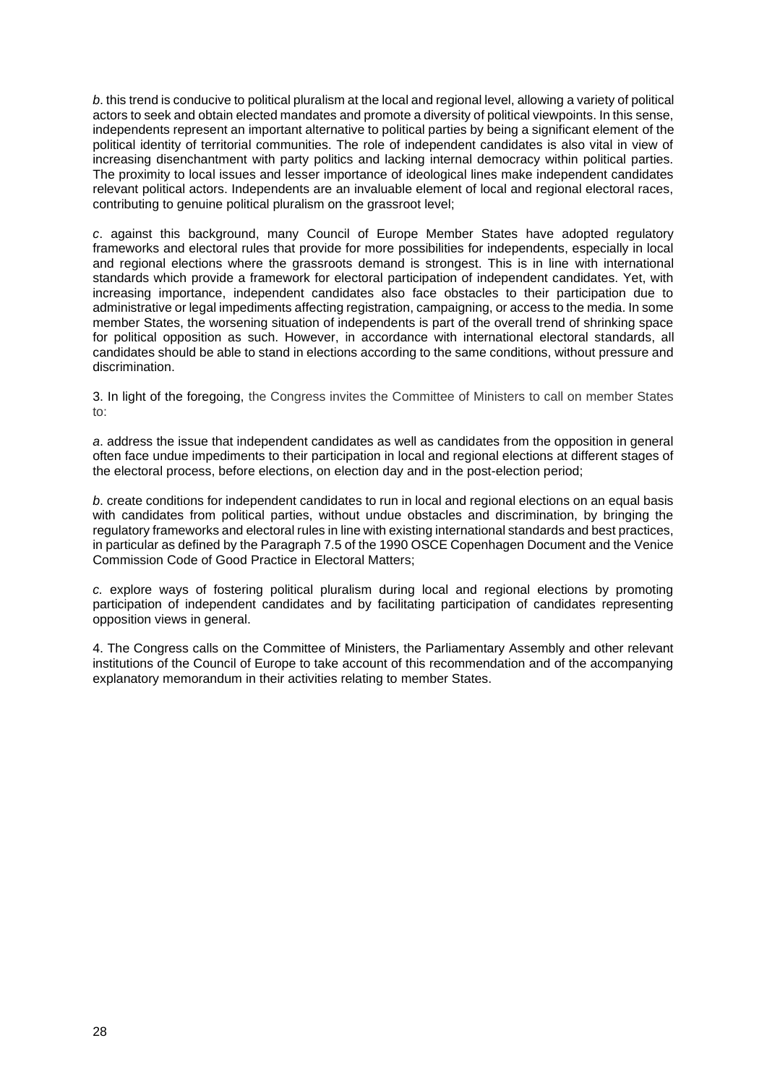*b*. this trend is conducive to political pluralism at the local and regional level, allowing a variety of political actors to seek and obtain elected mandates and promote a diversity of political viewpoints. In this sense, independents represent an important alternative to political parties by being a significant element of the political identity of territorial communities. The role of independent candidates is also vital in view of increasing disenchantment with party politics and lacking internal democracy within political parties. The proximity to local issues and lesser importance of ideological lines make independent candidates relevant political actors. Independents are an invaluable element of local and regional electoral races, contributing to genuine political pluralism on the grassroot level;

*c*. against this background, many Council of Europe Member States have adopted regulatory frameworks and electoral rules that provide for more possibilities for independents, especially in local and regional elections where the grassroots demand is strongest. This is in line with international standards which provide a framework for electoral participation of independent candidates. Yet, with increasing importance, independent candidates also face obstacles to their participation due to administrative or legal impediments affecting registration, campaigning, or access to the media. In some member States, the worsening situation of independents is part of the overall trend of shrinking space for political opposition as such. However, in accordance with international electoral standards, all candidates should be able to stand in elections according to the same conditions, without pressure and discrimination.

3. In light of the foregoing, the Congress invites the Committee of Ministers to call on member States to:

*a*. address the issue that independent candidates as well as candidates from the opposition in general often face undue impediments to their participation in local and regional elections at different stages of the electoral process, before elections, on election day and in the post-election period;

*b*. create conditions for independent candidates to run in local and regional elections on an equal basis with candidates from political parties, without undue obstacles and discrimination, by bringing the regulatory frameworks and electoral rules in line with existing international standards and best practices, in particular as defined by the Paragraph 7.5 of the 1990 OSCE Copenhagen Document and the Venice Commission Code of Good Practice in Electoral Matters;

*c.* explore ways of fostering political pluralism during local and regional elections by promoting participation of independent candidates and by facilitating participation of candidates representing opposition views in general.

4. The Congress calls on the Committee of Ministers, the Parliamentary Assembly and other relevant institutions of the Council of Europe to take account of this recommendation and of the accompanying explanatory memorandum in their activities relating to member States.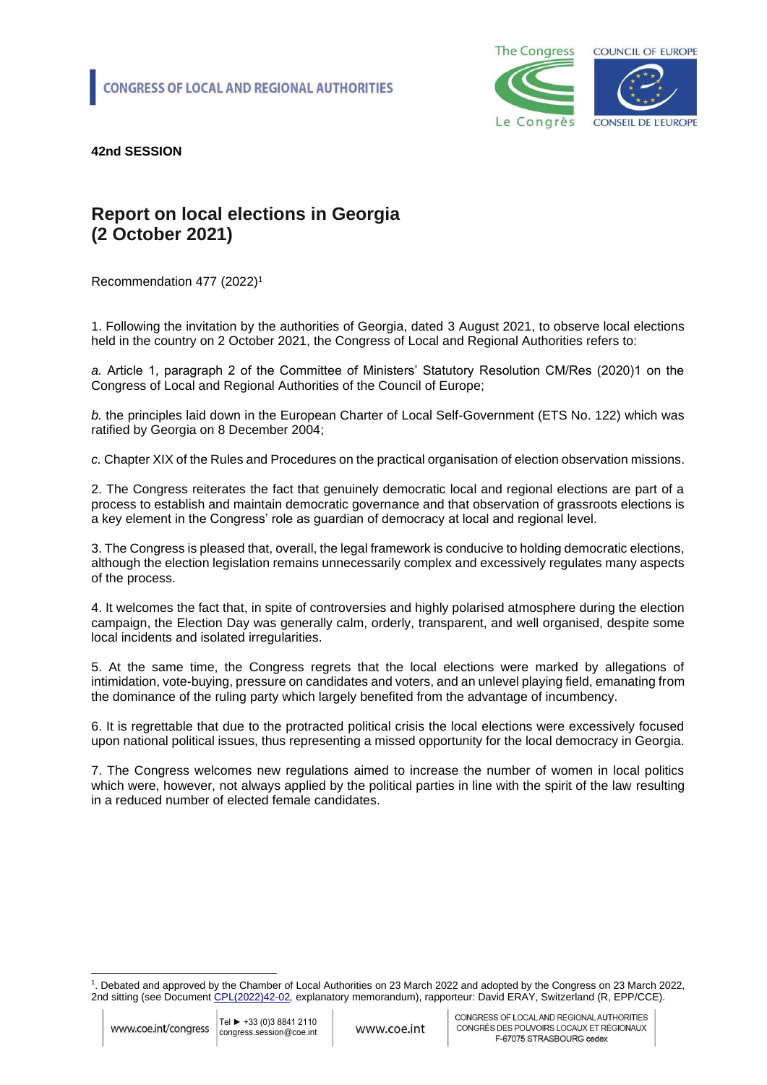

# **Report on local elections in Georgia (2 October 2021)**

Recommendation 477 (2022)<sup>1</sup>

1. Following the invitation by the authorities of Georgia, dated 3 August 2021, to observe local elections held in the country on 2 October 2021, the Congress of Local and Regional Authorities refers to:

*a.* Article 1, paragraph 2 of the Committee of Ministers' Statutory Resolution CM/Res (2020)1 on the Congress of Local and Regional Authorities of the Council of Europe;

*b.* the principles laid down in the European Charter of Local Self-Government (ETS No. 122) which was ratified by Georgia on 8 December 2004;

*c.* Chapter XIX of the Rules and Procedures on the practical organisation of election observation missions.

2. The Congress reiterates the fact that genuinely democratic local and regional elections are part of a process to establish and maintain democratic governance and that observation of grassroots elections is a key element in the Congress' role as guardian of democracy at local and regional level.

3. The Congress is pleased that, overall, the legal framework is conducive to holding democratic elections, although the election legislation remains unnecessarily complex and excessively regulates many aspects of the process.

4. It welcomes the fact that, in spite of controversies and highly polarised atmosphere during the election campaign, the Election Day was generally calm, orderly, transparent, and well organised, despite some local incidents and isolated irregularities.

5. At the same time, the Congress regrets that the local elections were marked by allegations of intimidation, vote-buying, pressure on candidates and voters, and an unlevel playing field, emanating from the dominance of the ruling party which largely benefited from the advantage of incumbency.

6. It is regrettable that due to the protracted political crisis the local elections were excessively focused upon national political issues, thus representing a missed opportunity for the local democracy in Georgia.

7. The Congress welcomes new regulations aimed to increase the number of women in local politics which were, however, not always applied by the political parties in line with the spirit of the law resulting in a reduced number of elected female candidates.

<sup>1</sup> . Debated and approved by the Chamber of Local Authorities on 23 March 2022 and adopted by the Congress on 23 March 2022, 2nd sitting (see Document [CPL\(2022\)42-02](https://search.coe.int/congress/pages/result_details.aspx?objectid=0900001680a5afe0)*,* explanatory memorandum), rapporteur: David ERAY, Switzerland (R, EPP/CCE).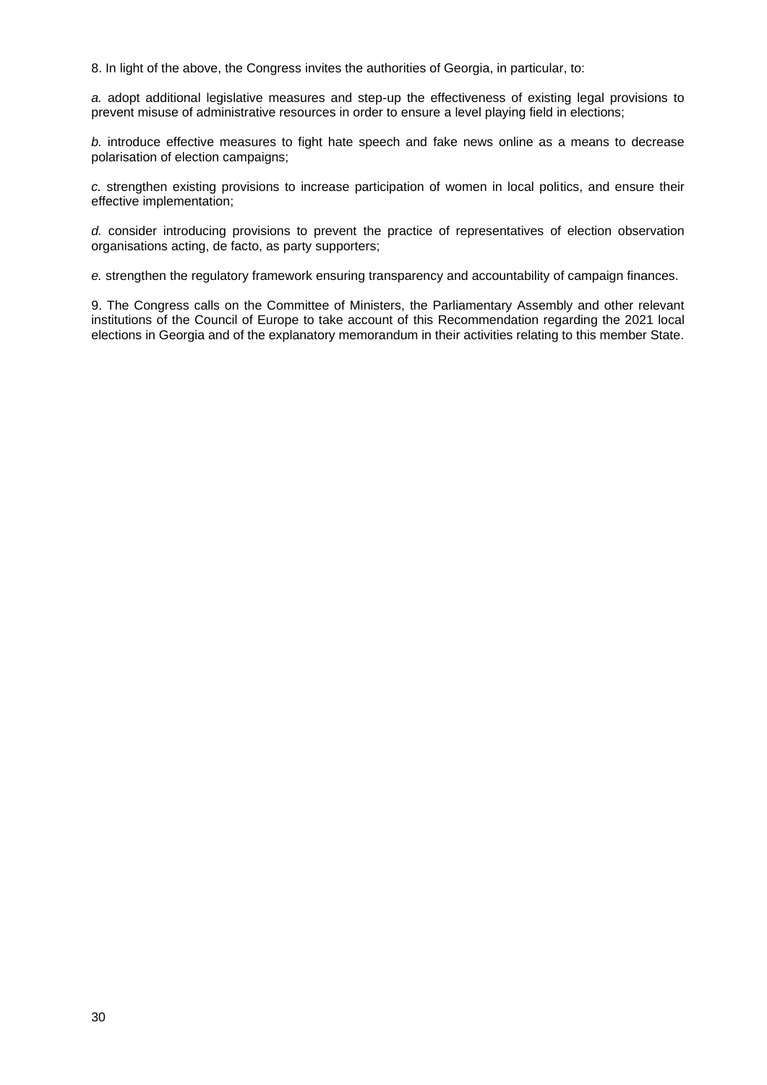8. In light of the above, the Congress invites the authorities of Georgia, in particular, to:

*a.* adopt additional legislative measures and step-up the effectiveness of existing legal provisions to prevent misuse of administrative resources in order to ensure a level playing field in elections;

*b.* introduce effective measures to fight hate speech and fake news online as a means to decrease polarisation of election campaigns;

*c.* strengthen existing provisions to increase participation of women in local politics, and ensure their effective implementation;

*d.* consider introducing provisions to prevent the practice of representatives of election observation organisations acting, de facto, as party supporters;

*e.* strengthen the regulatory framework ensuring transparency and accountability of campaign finances.

9. The Congress calls on the Committee of Ministers, the Parliamentary Assembly and other relevant institutions of the Council of Europe to take account of this Recommendation regarding the 2021 local elections in Georgia and of the explanatory memorandum in their activities relating to this member State.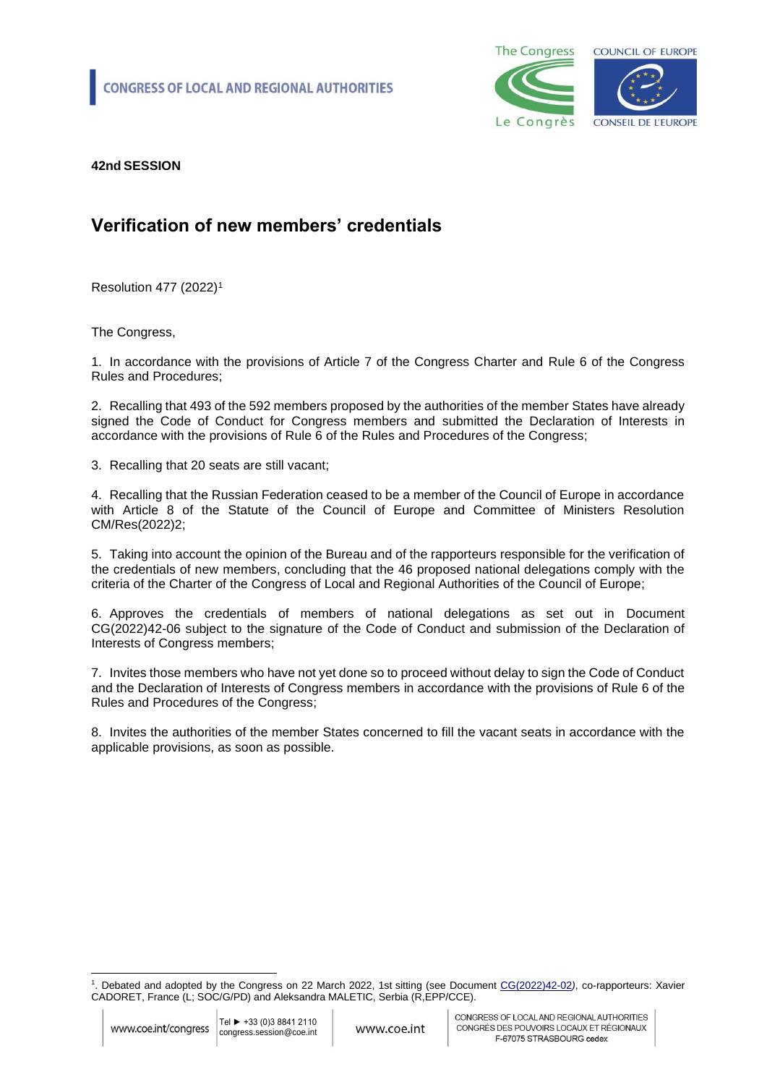

# **Verification of new members' credentials**

Resolution 477 (2022)<sup>1</sup>

The Congress,

1. In accordance with the provisions of Article 7 of the Congress Charter and Rule 6 of the Congress Rules and Procedures;

2. Recalling that 493 of the 592 members proposed by the authorities of the member States have already signed the Code of Conduct for Congress members and submitted the Declaration of Interests in accordance with the provisions of Rule 6 of the Rules and Procedures of the Congress;

3. Recalling that 20 seats are still vacant;

4. Recalling that the Russian Federation ceased to be a member of the Council of Europe in accordance with Article 8 of the Statute of the Council of Europe and Committee of Ministers Resolution CM/Res(2022)2;

5. Taking into account the opinion of the Bureau and of the rapporteurs responsible for the verification of the credentials of new members, concluding that the 46 proposed national delegations comply with the criteria of the Charter of the Congress of Local and Regional Authorities of the Council of Europe;

6. Approves the credentials of members of national delegations as set out in Document CG(2022)42-06 subject to the signature of the Code of Conduct and submission of the Declaration of Interests of Congress members;

7. Invites those members who have not yet done so to proceed without delay to sign the Code of Conduct and the Declaration of Interests of Congress members in accordance with the provisions of Rule 6 of the Rules and Procedures of the Congress;

8. Invites the authorities of the member States concerned to fill the vacant seats in accordance with the applicable provisions, as soon as possible.

<sup>1</sup> . Debated and adopted by the Congress on 22 March 2022, 1st sitting (see Document [CG\(2022\)42-02](https://rm.coe.int/verification-of-credentials/1680a5e827)*)*, co-rapporteurs: Xavier CADORET, France (L; SOC/G/PD) and Aleksandra MALETIC, Serbia (R,EPP/CCE).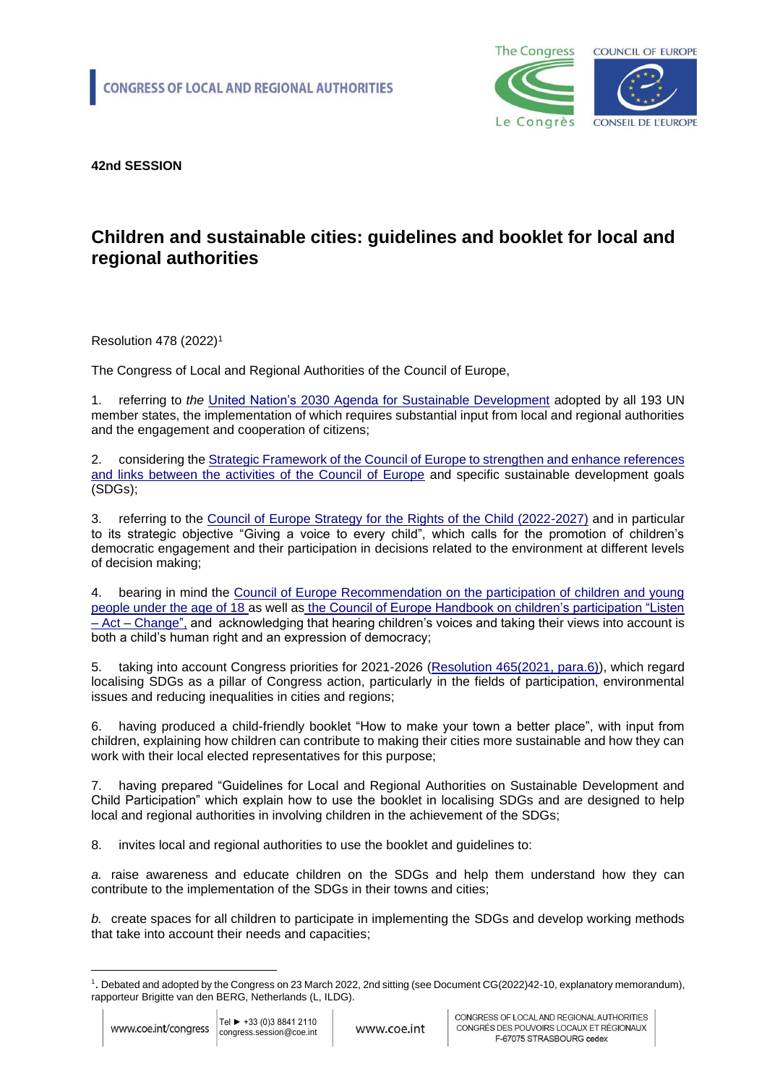

# **Children and sustainable cities: guidelines and booklet for local and regional authorities**

Resolution 478 (2022)<sup>1</sup>

The Congress of Local and Regional Authorities of the Council of Europe,

1. referring to *the* [United Nation's 2030 Agenda for Sustainable Development](https://www.un.org/sustainabledevelopment/development-agenda/) adopted by all 193 UN member states, the implementation of which requires substantial input from local and regional authorities and the engagement and cooperation of citizens;

2. considering the [Strategic Framework of the Council of Europe to strengthen and enhance references](https://rm.coe.int/0900001680a28b02)  [and links between the activities of the Council of Europe](https://rm.coe.int/0900001680a28b02) and specific sustainable development goals (SDGs);

3. referring to the [Council of Europe Strategy for the Rights of the Child \(2022-2027\)](https://search.coe.int/cm/pages/result_details.aspx?objectid=0900001680a5a064) and in particular to its strategic objective "Giving a voice to every child", which calls for the promotion of children's democratic engagement and their participation in decisions related to the environment at different levels of decision making;

4. bearing in mind the [Council of Europe Recommendation on the participation of children and young](https://rm.coe.int/168046c478)  [people under the age of 18](https://rm.coe.int/168046c478) as well as the [Council of Europe Handbook on children's participation "Listen](https://rm.coe.int/publication-handbook-on-children-s-participation-eng/1680a14539)  – Act – [Change"](https://rm.coe.int/publication-handbook-on-children-s-participation-eng/1680a14539), and acknowledging that hearing children's voices and taking their views into account is both a child's human right and an expression of democracy;

5. taking into account Congress priorities for 2021-2026 [\(Resolution 465\(2021, para.6\)\)](https://rm.coe.int/2021-2026-priorities-of-the-congress-of-local-and-regional-authorities/1680a1b0bd), which regard localising SDGs as a pillar of Congress action, particularly in the fields of participation, environmental issues and reducing inequalities in cities and regions;

6. having produced a child-friendly booklet "How to make your town a better place", with input from children, explaining how children can contribute to making their cities more sustainable and how they can work with their local elected representatives for this purpose;

7. having prepared "Guidelines for Local and Regional Authorities on Sustainable Development and Child Participation" which explain how to use the booklet in localising SDGs and are designed to help local and regional authorities in involving children in the achievement of the SDGs;

8. invites local and regional authorities to use the booklet and guidelines to:

*a.* raise awareness and educate children on the SDGs and help them understand how they can contribute to the implementation of the SDGs in their towns and cities;

*b.* create spaces for all children to participate in implementing the SDGs and develop working methods that take into account their needs and capacities;

<sup>1</sup> . Debated and adopted by the Congress on 23 March 2022, 2nd sitting (see Document CG(2022)42-10, explanatory memorandum), rapporteur Brigitte van den BERG, Netherlands (L, ILDG).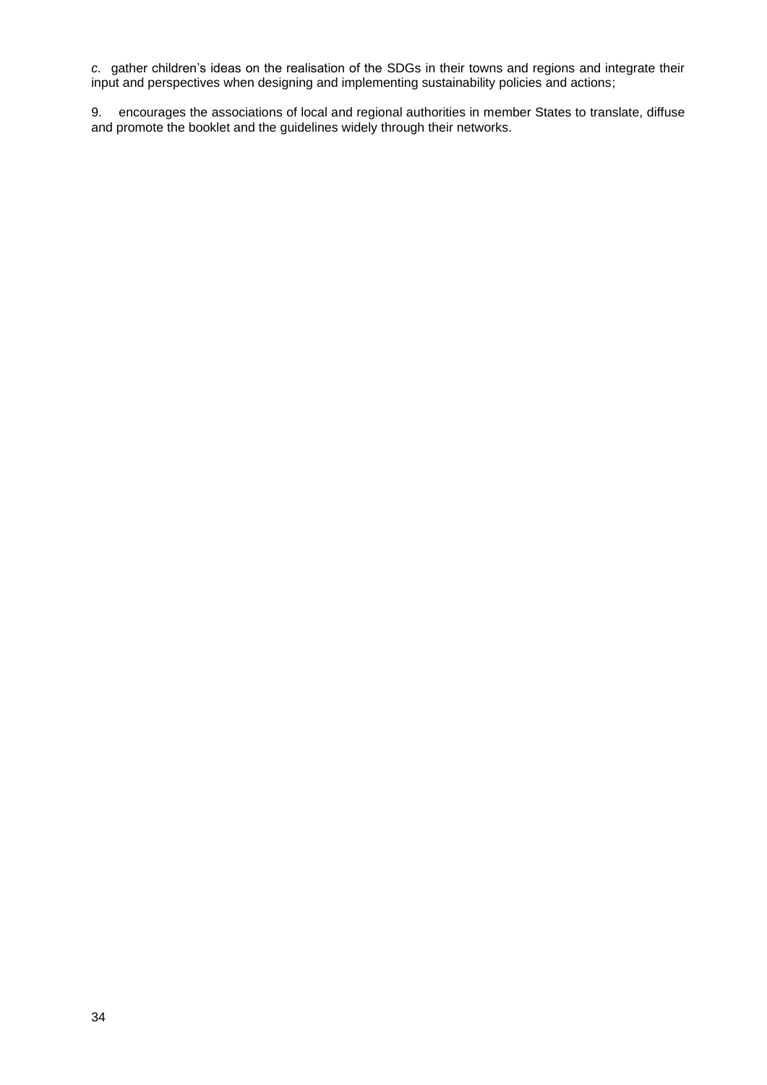*c.* gather children's ideas on the realisation of the SDGs in their towns and regions and integrate their input and perspectives when designing and implementing sustainability policies and actions;

9. encourages the associations of local and regional authorities in member States to translate, diffuse and promote the booklet and the guidelines widely through their networks.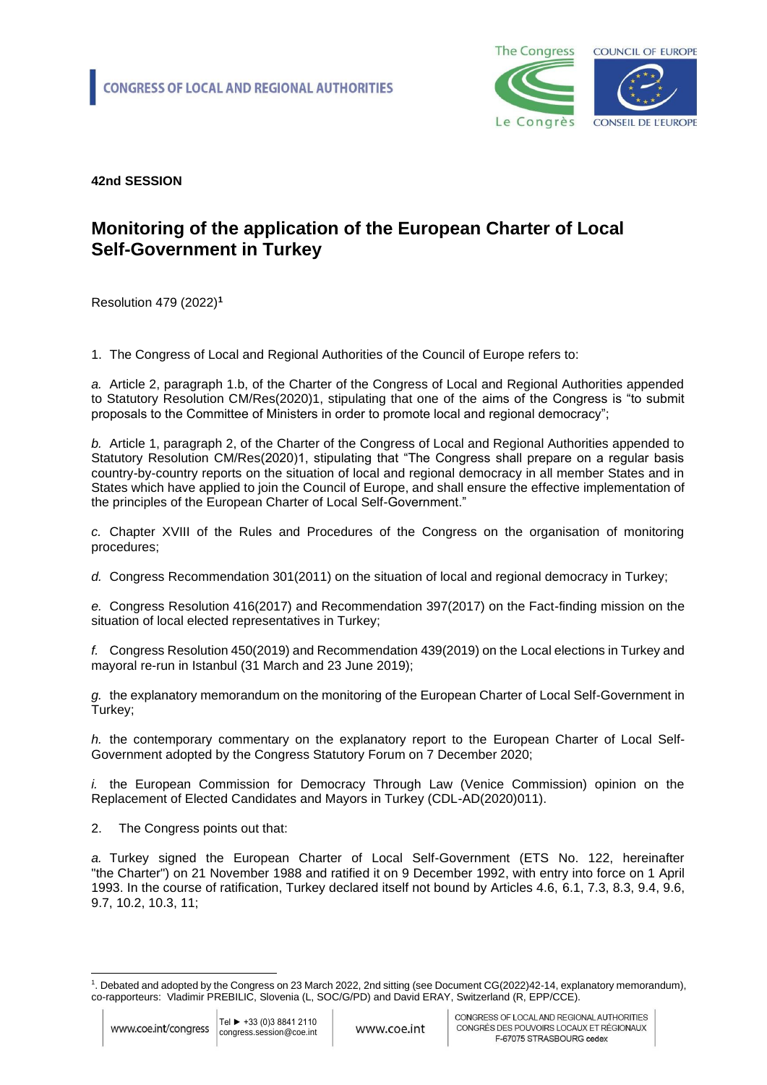

#### **Monitoring of the application of the European Charter of Local Self-Government in Turkey**

Resolution 479 (2022)**<sup>1</sup>**

1. The Congress of Local and Regional Authorities of the Council of Europe refers to:

*a.* Article 2, paragraph 1.b, of the Charter of the Congress of Local and Regional Authorities appended to Statutory Resolution CM/Res(2020)1, stipulating that one of the aims of the Congress is "to submit proposals to the Committee of Ministers in order to promote local and regional democracy";

*b.* Article 1, paragraph 2, of the Charter of the Congress of Local and Regional Authorities appended to Statutory Resolution CM/Res(2020)1, stipulating that "The Congress shall prepare on a regular basis country-by-country reports on the situation of local and regional democracy in all member States and in States which have applied to join the Council of Europe, and shall ensure the effective implementation of the principles of the European Charter of Local Self-Government."

*c.* Chapter XVIII of the Rules and Procedures of the Congress on the organisation of monitoring procedures;

*d.* Congress Recommendation 301(2011) on the situation of local and regional democracy in Turkey;

*e.* Congress Resolution 416(2017) and Recommendation 397(2017) on the Fact-finding mission on the situation of local elected representatives in Turkey;

*f.* Congress Resolution 450(2019) and Recommendation 439(2019) on the Local elections in Turkey and mayoral re-run in Istanbul (31 March and 23 June 2019);

*g.* the explanatory memorandum on the monitoring of the European Charter of Local Self-Government in Turkey;

*h.* the contemporary commentary on the explanatory report to the European Charter of Local Self-Government adopted by the Congress Statutory Forum on 7 December 2020;

*i.* the European Commission for Democracy Through Law (Venice Commission) opinion on the Replacement of Elected Candidates and Mayors in Turkey (CDL-AD(2020)011).

2. The Congress points out that:

*a.* Turkey signed the European Charter of Local Self-Government (ETS No. 122, hereinafter "the Charter") on 21 November 1988 and ratified it on 9 December 1992, with entry into force on 1 April 1993. In the course of ratification, Turkey declared itself not bound by Articles 4.6, 6.1, 7.3, 8.3, 9.4, 9.6, 9.7, 10.2, 10.3, 11;

<sup>1</sup> . Debated and adopted by the Congress on 23 March 2022, 2nd sitting (see Document CG(2022)42-14, explanatory memorandum), co-rapporteurs: Vladimir PREBILIC, Slovenia (L, SOC/G/PD) and David ERAY, Switzerland (R, EPP/CCE).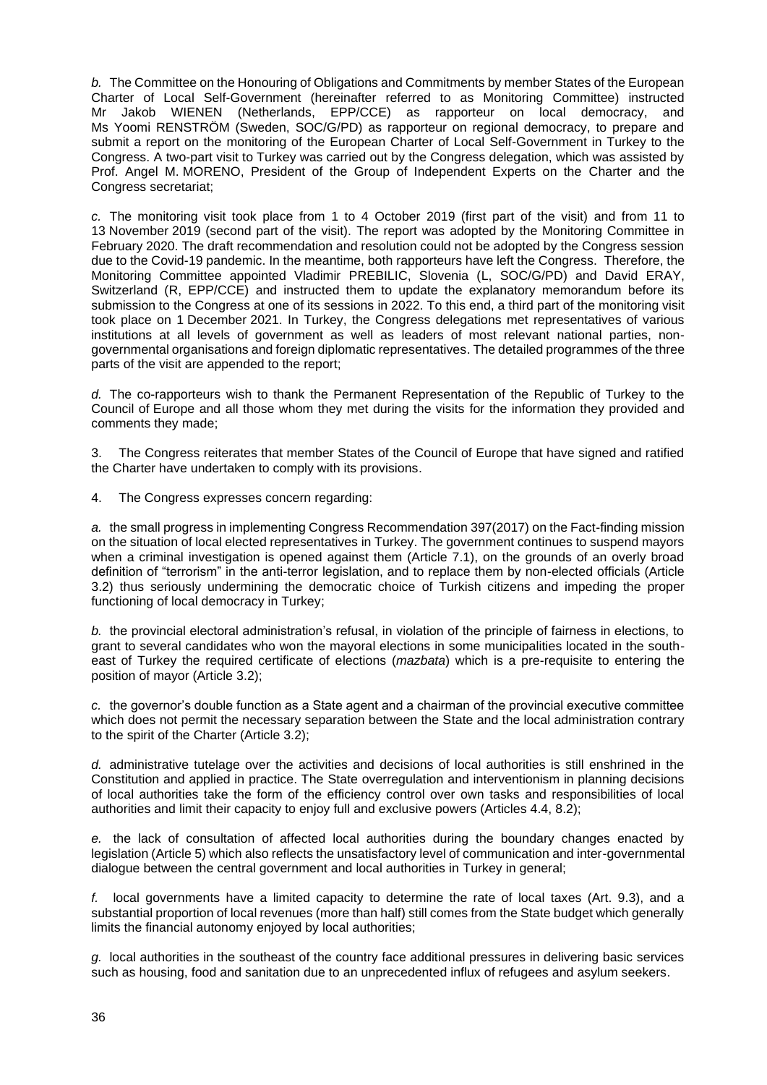*b.* The Committee on the Honouring of Obligations and Commitments by member States of the European Charter of Local Self-Government (hereinafter referred to as Monitoring Committee) instructed Mr Jakob WIENEN (Netherlands, EPP/CCE) as rapporteur on local democracy, and Ms Yoomi RENSTRÖM (Sweden, SOC/G/PD) as rapporteur on regional democracy, to prepare and submit a report on the monitoring of the European Charter of Local Self-Government in Turkey to the Congress. A two-part visit to Turkey was carried out by the Congress delegation, which was assisted by Prof. Angel M. MORENO, President of the Group of Independent Experts on the Charter and the Congress secretariat;

*c.* The monitoring visit took place from 1 to 4 October 2019 (first part of the visit) and from 11 to 13 November 2019 (second part of the visit). The report was adopted by the Monitoring Committee in February 2020. The draft recommendation and resolution could not be adopted by the Congress session due to the Covid-19 pandemic. In the meantime, both rapporteurs have left the Congress. Therefore, the Monitoring Committee appointed Vladimir PREBILIC, Slovenia (L, SOC/G/PD) and David ERAY, Switzerland (R, EPP/CCE) and instructed them to update the explanatory memorandum before its submission to the Congress at one of its sessions in 2022. To this end, a third part of the monitoring visit took place on 1 December 2021. In Turkey, the Congress delegations met representatives of various institutions at all levels of government as well as leaders of most relevant national parties, nongovernmental organisations and foreign diplomatic representatives. The detailed programmes of the three parts of the visit are appended to the report;

*d.* The co-rapporteurs wish to thank the Permanent Representation of the Republic of Turkey to the Council of Europe and all those whom they met during the visits for the information they provided and comments they made;

3. The Congress reiterates that member States of the Council of Europe that have signed and ratified the Charter have undertaken to comply with its provisions.

4. The Congress expresses concern regarding:

*a.* the small progress in implementing Congress Recommendation 397(2017) on the Fact-finding mission on the situation of local elected representatives in Turkey. The government continues to suspend mayors when a criminal investigation is opened against them (Article 7.1), on the grounds of an overly broad definition of "terrorism" in the anti-terror legislation, and to replace them by non-elected officials (Article 3.2) thus seriously undermining the democratic choice of Turkish citizens and impeding the proper functioning of local democracy in Turkey;

*b.* the provincial electoral administration's refusal, in violation of the principle of fairness in elections, to grant to several candidates who won the mayoral elections in some municipalities located in the southeast of Turkey the required certificate of elections (*mazbata*) which is a pre-requisite to entering the position of mayor (Article 3.2);

*c.* the governor's double function as a State agent and a chairman of the provincial executive committee which does not permit the necessary separation between the State and the local administration contrary to the spirit of the Charter (Article 3.2);

*d.* administrative tutelage over the activities and decisions of local authorities is still enshrined in the Constitution and applied in practice. The State overregulation and interventionism in planning decisions of local authorities take the form of the efficiency control over own tasks and responsibilities of local authorities and limit their capacity to enjoy full and exclusive powers (Articles 4.4, 8.2);

*e.* the lack of consultation of affected local authorities during the boundary changes enacted by legislation (Article 5) which also reflects the unsatisfactory level of communication and inter-governmental dialogue between the central government and local authorities in Turkey in general;

*f.* local governments have a limited capacity to determine the rate of local taxes (Art. 9.3), and a substantial proportion of local revenues (more than half) still comes from the State budget which generally limits the financial autonomy enjoyed by local authorities;

*g.* local authorities in the southeast of the country face additional pressures in delivering basic services such as housing, food and sanitation due to an unprecedented influx of refugees and asylum seekers.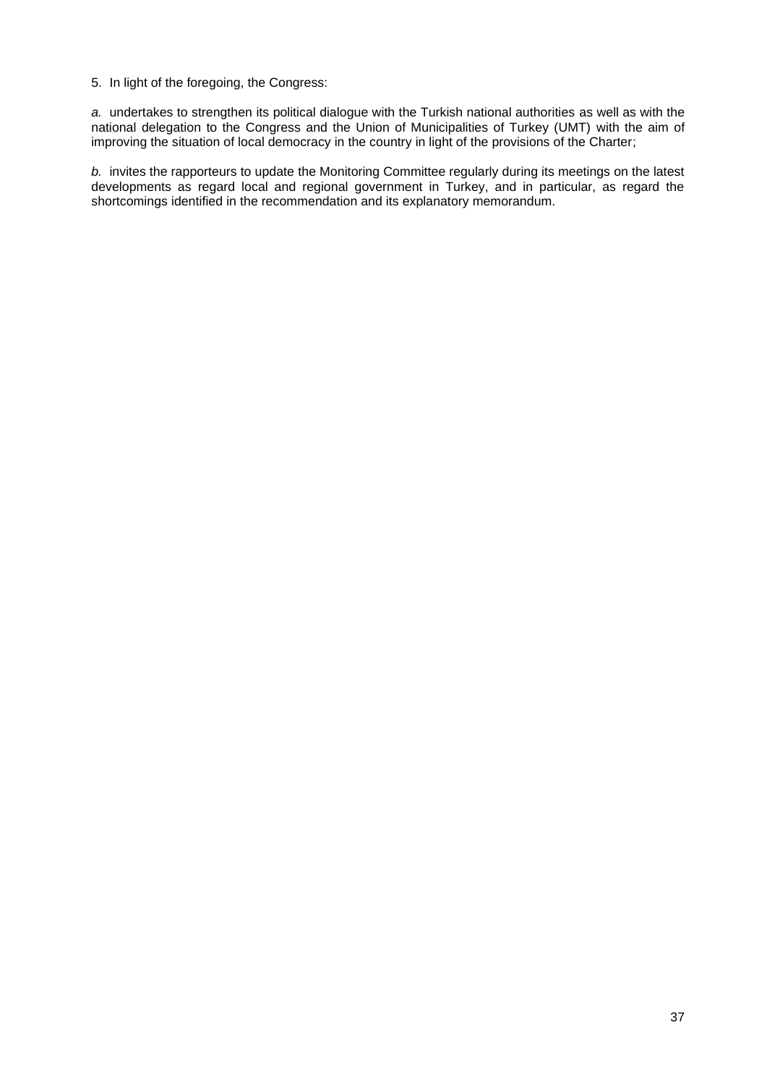5. In light of the foregoing, the Congress:

*a.* undertakes to strengthen its political dialogue with the Turkish national authorities as well as with the national delegation to the Congress and the Union of Municipalities of Turkey (UMT) with the aim of improving the situation of local democracy in the country in light of the provisions of the Charter;

*b.* invites the rapporteurs to update the Monitoring Committee regularly during its meetings on the latest developments as regard local and regional government in Turkey, and in particular, as regard the shortcomings identified in the recommendation and its explanatory memorandum.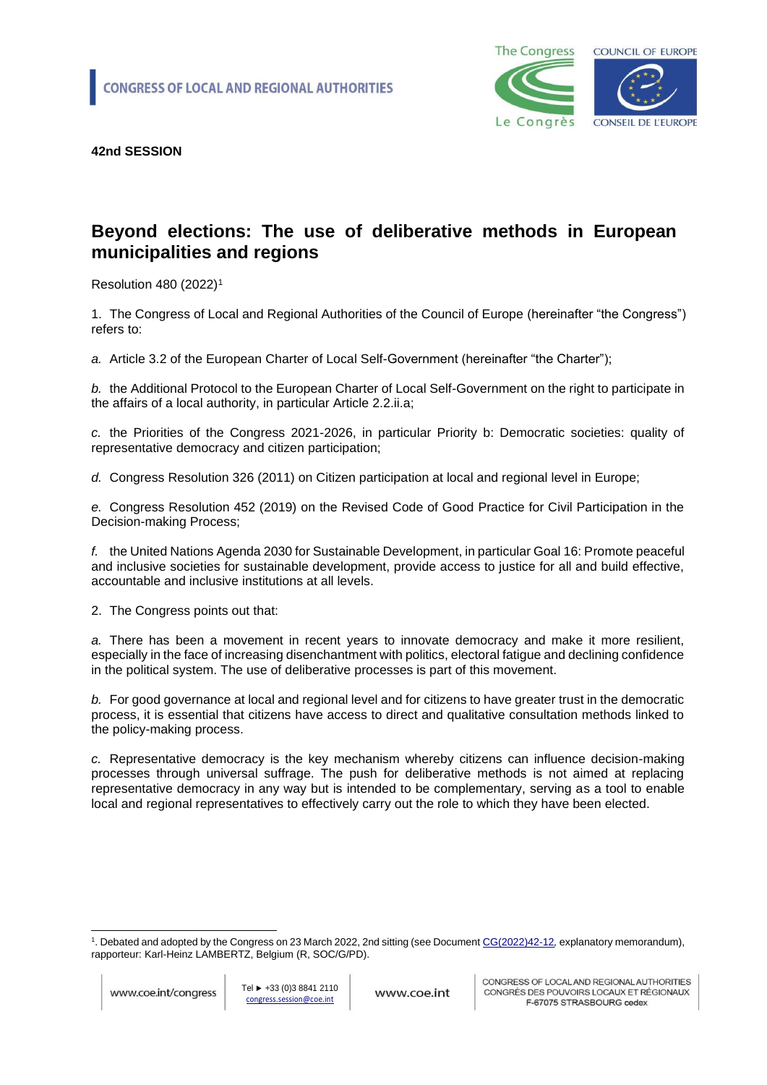

### **Beyond elections: The use of deliberative methods in European municipalities and regions**

Resolution 480 (2022)<sup>1</sup>

1. The Congress of Local and Regional Authorities of the Council of Europe (hereinafter "the Congress") refers to:

*a.* Article 3.2 of the European Charter of Local Self-Government (hereinafter "the Charter");

*b.* the Additional Protocol to the European Charter of Local Self-Government on the right to participate in the affairs of a local authority, in particular Article 2.2.ii.a;

*c.* the Priorities of the Congress 2021-2026, in particular Priority b: Democratic societies: quality of representative democracy and citizen participation;

*d.* Congress Resolution 326 (2011) on Citizen participation at local and regional level in Europe;

*e.* Congress Resolution 452 (2019) on the Revised Code of Good Practice for Civil Participation in the Decision-making Process;

*f.* the United Nations Agenda 2030 for Sustainable Development, in particular Goal 16: Promote peaceful and inclusive societies for sustainable development, provide access to justice for all and build effective, accountable and inclusive institutions at all levels.

2. The Congress points out that:

*a.* There has been a movement in recent years to innovate democracy and make it more resilient, especially in the face of increasing disenchantment with politics, electoral fatigue and declining confidence in the political system. The use of deliberative processes is part of this movement.

*b.* For good governance at local and regional level and for citizens to have greater trust in the democratic process, it is essential that citizens have access to direct and qualitative consultation methods linked to the policy-making process.

*c.* Representative democracy is the key mechanism whereby citizens can influence decision-making processes through universal suffrage. The push for deliberative methods is not aimed at replacing representative democracy in any way but is intended to be complementary, serving as a tool to enable local and regional representatives to effectively carry out the role to which they have been elected.

<sup>&</sup>lt;sup>1</sup>. Debated and adopted by the Congress on 23 March 2022, 2nd sitting (see Documen[t CG\(2022\)42-12](https://rm.coe.int/cg-2022-42-12-en-beyond-elections-the-use-of-deliberative-methods-in-e/1680a5b00d), explanatory memorandum), rapporteur: Karl-Heinz LAMBERTZ, Belgium (R, SOC/G/PD).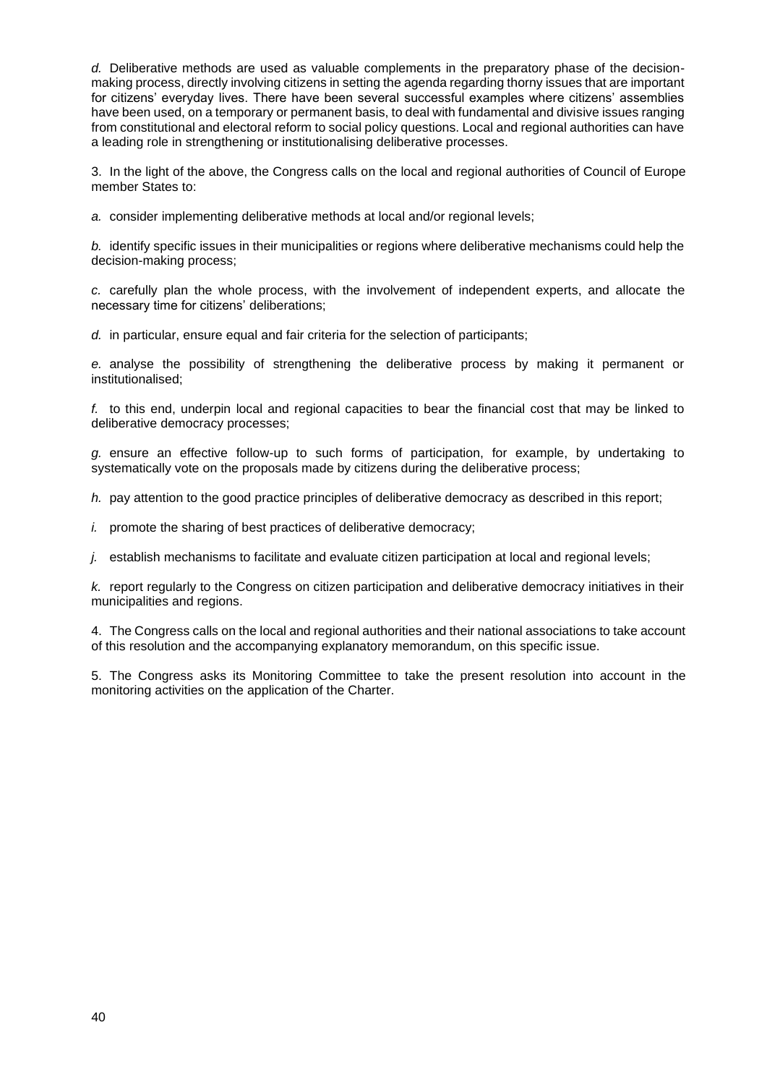*d.* Deliberative methods are used as valuable complements in the preparatory phase of the decisionmaking process, directly involving citizens in setting the agenda regarding thorny issues that are important for citizens' everyday lives. There have been several successful examples where citizens' assemblies have been used, on a temporary or permanent basis, to deal with fundamental and divisive issues ranging from constitutional and electoral reform to social policy questions. Local and regional authorities can have a leading role in strengthening or institutionalising deliberative processes.

3. In the light of the above, the Congress calls on the local and regional authorities of Council of Europe member States to:

*a.* consider implementing deliberative methods at local and/or regional levels;

*b.* identify specific issues in their municipalities or regions where deliberative mechanisms could help the decision-making process;

*c.* carefully plan the whole process, with the involvement of independent experts, and allocate the necessary time for citizens' deliberations;

*d.* in particular, ensure equal and fair criteria for the selection of participants;

*e.* analyse the possibility of strengthening the deliberative process by making it permanent or institutionalised;

*f.* to this end, underpin local and regional capacities to bear the financial cost that may be linked to deliberative democracy processes;

*g.* ensure an effective follow-up to such forms of participation, for example, by undertaking to systematically vote on the proposals made by citizens during the deliberative process;

*h.* pay attention to the good practice principles of deliberative democracy as described in this report;

*i.* promote the sharing of best practices of deliberative democracy;

*j.* establish mechanisms to facilitate and evaluate citizen participation at local and regional levels;

*k.* report regularly to the Congress on citizen participation and deliberative democracy initiatives in their municipalities and regions.

4. The Congress calls on the local and regional authorities and their national associations to take account of this resolution and the accompanying explanatory memorandum, on this specific issue.

5. The Congress asks its Monitoring Committee to take the present resolution into account in the monitoring activities on the application of the Charter.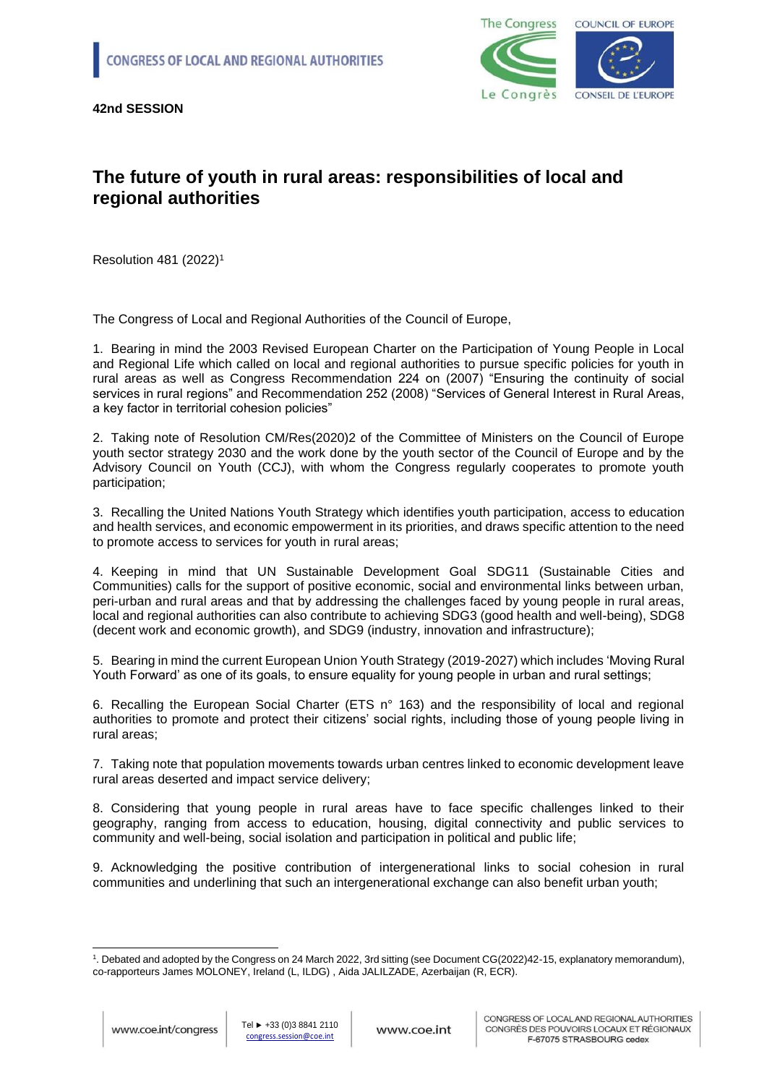

#### **The future of youth in rural areas: responsibilities of local and regional authorities**

Resolution 481 (2022)<sup>1</sup>

The Congress of Local and Regional Authorities of the Council of Europe,

1. Bearing in mind the 2003 Revised European Charter on the Participation of Young People in Local and Regional Life which called on local and regional authorities to pursue specific policies for youth in rural areas as well as Congress Recommendation [224 on \(2007\) "Ensuring the continuity of social](https://search.coe.int/congress/Pages/result_details.aspx?ObjectId=090000168071afe4)  [services in rural regions"](https://search.coe.int/congress/Pages/result_details.aspx?ObjectId=090000168071afe4) and Recommendation [252 \(2008\) "Services of General Interest in Rural Areas,](https://search.coe.int/congress/Pages/result_details.aspx?ObjectId=0900001680719a4f)  [a key factor in territorial cohesion policies"](https://search.coe.int/congress/Pages/result_details.aspx?ObjectId=0900001680719a4f)

2. Taking note of Resolution CM/Res(2020)2 of the Committee of Ministers on the Council of Europe youth sector strategy 2030 and the work done by the youth sector of the Council of Europe and by the Advisory Council on Youth (CCJ), with whom the Congress regularly cooperates to promote youth participation;

3. Recalling the United Nations Youth Strategy which identifies youth participation, access to education and health services, and economic empowerment in its priorities, and draws specific attention to the need to promote access to services for youth in rural areas;

4. Keeping in mind that UN Sustainable Development Goal SDG11 (Sustainable Cities and Communities) calls for the support of positive economic, social and environmental links between urban, peri-urban and rural areas and that by addressing the challenges faced by young people in rural areas, local and regional authorities can also contribute to achieving SDG3 (good health and well-being), SDG8 (decent work and economic growth), and SDG9 (industry, innovation and infrastructure);

5. Bearing in mind the current European Union Youth Strategy (2019-2027) which includes 'Moving Rural Youth Forward' as one of its goals, to ensure equality for young people in urban and rural settings;

6. Recalling the European Social Charter (ETS n° 163) and the responsibility of local and regional authorities to promote and protect their citizens' social rights, including those of young people living in rural areas;

7. Taking note that population movements towards urban centres linked to economic development leave rural areas deserted and impact service delivery;

8. Considering that young people in rural areas have to face specific challenges linked to their geography, ranging from access to education, housing, digital connectivity and public services to community and well-being, social isolation and participation in political and public life;

9. Acknowledging the positive contribution of intergenerational links to social cohesion in rural communities and underlining that such an intergenerational exchange can also benefit urban youth;

<sup>1</sup> . Debated and adopted by the Congress on 24 March 2022, 3rd sitting (see Document CG(2022)42-15, explanatory memorandum), co-rapporteurs James MOLONEY, Ireland (L, ILDG) , Aida JALILZADE, Azerbaijan (R, ECR).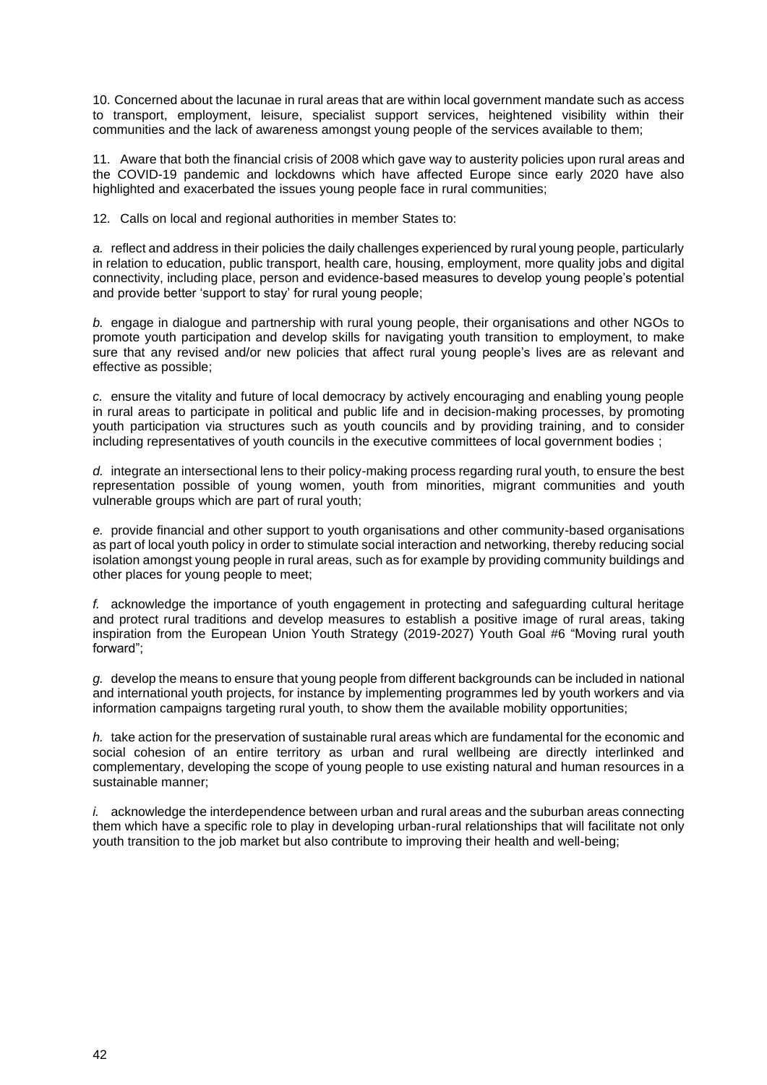10. Concerned about the lacunae in rural areas that are within local government mandate such as access to transport, employment, leisure, specialist support services, heightened visibility within their communities and the lack of awareness amongst young people of the services available to them;

11. Aware that both the financial crisis of 2008 which gave way to austerity policies upon rural areas and the COVID-19 pandemic and lockdowns which have affected Europe since early 2020 have also highlighted and exacerbated the issues young people face in rural communities;

12. Calls on local and regional authorities in member States to:

*a.* reflect and address in their policies the daily challenges experienced by rural young people, particularly in relation to education, public transport, health care, housing, employment, more quality jobs and digital connectivity, including place, person and evidence-based measures to develop young people's potential and provide better 'support to stay' for rural young people;

*b.* engage in dialogue and partnership with rural young people, their organisations and other NGOs to promote youth participation and develop skills for navigating youth transition to employment, to make sure that any revised and/or new policies that affect rural young people's lives are as relevant and effective as possible;

*c.* ensure the vitality and future of local democracy by actively encouraging and enabling young people in rural areas to participate in political and public life and in decision-making processes, by promoting youth participation via structures such as youth councils and by providing training, and to consider including representatives of youth councils in the executive committees of local government bodies ;

*d.* integrate an intersectional lens to their policy-making process regarding rural youth, to ensure the best representation possible of young women, youth from minorities, migrant communities and youth vulnerable groups which are part of rural youth;

*e.* provide financial and other support to youth organisations and other community-based organisations as part of local youth policy in order to stimulate social interaction and networking, thereby reducing social isolation amongst young people in rural areas, such as for example by providing community buildings and other places for young people to meet;

*f.* acknowledge the importance of youth engagement in protecting and safeguarding cultural heritage and protect rural traditions and develop measures to establish a positive image of rural areas, taking inspiration from the European Union Youth Strategy (2019-2027) Youth Goal #6 "Moving rural youth forward";

*g.* develop the means to ensure that young people from different backgrounds can be included in national and international youth projects, for instance by implementing programmes led by youth workers and via information campaigns targeting rural youth, to show them the available mobility opportunities;

*h.* take action for the preservation of sustainable rural areas which are fundamental for the economic and social cohesion of an entire territory as urban and rural wellbeing are directly interlinked and complementary, developing the scope of young people to use existing natural and human resources in a sustainable manner;

*i.* acknowledge the interdependence between urban and rural areas and the suburban areas connecting them which have a specific role to play in developing urban-rural relationships that will facilitate not only youth transition to the job market but also contribute to improving their health and well-being;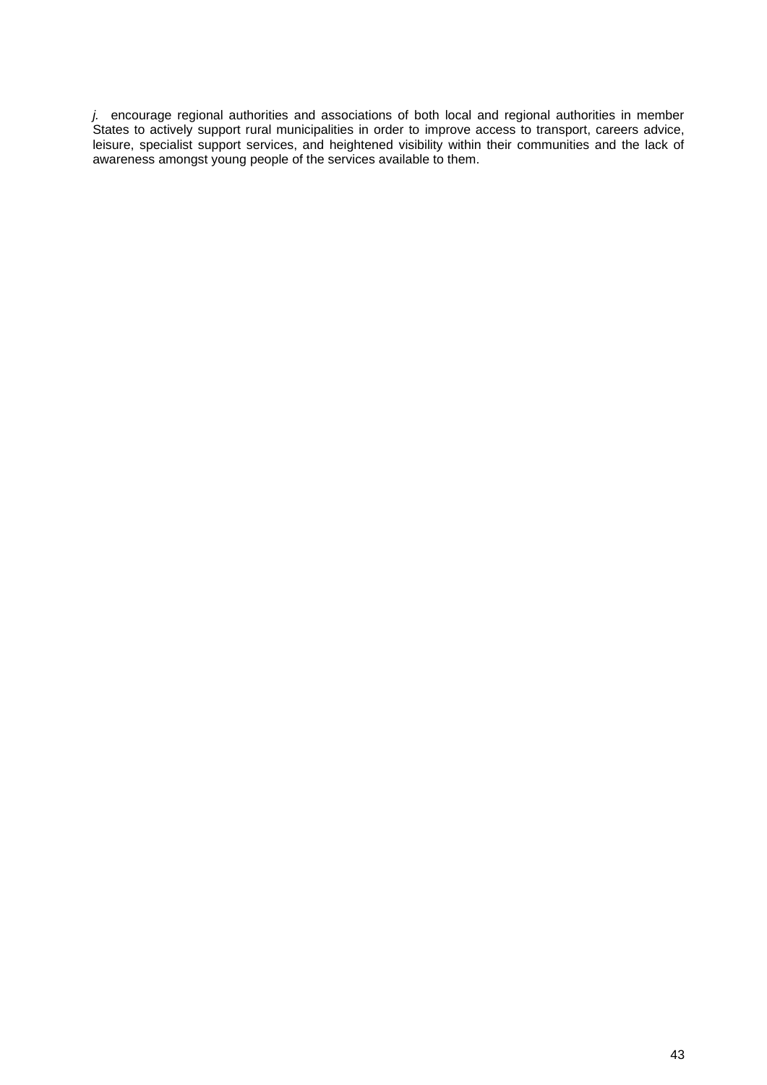*j.* encourage regional authorities and associations of both local and regional authorities in member States to actively support rural municipalities in order to improve access to transport, careers advice, leisure, specialist support services, and heightened visibility within their communities and the lack of awareness amongst young people of the services available to them.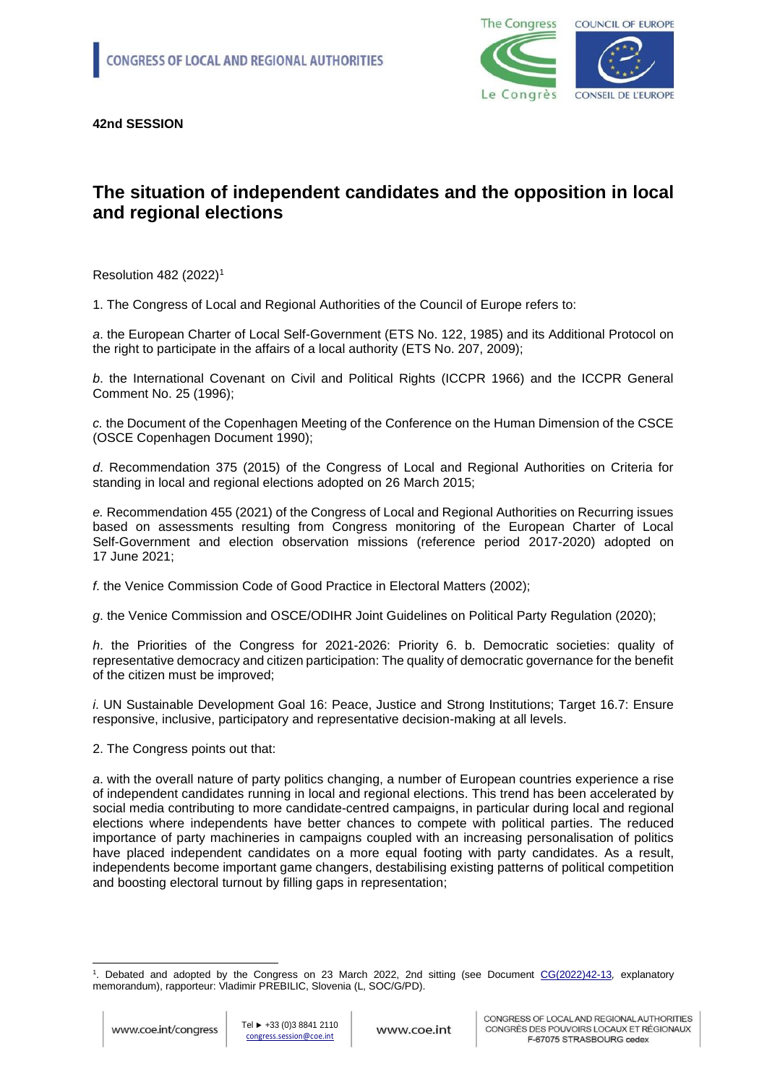

# **The situation of independent candidates and the opposition in local and regional elections**

Resolution 482 (2022)<sup>1</sup>

1. The Congress of Local and Regional Authorities of the Council of Europe refers to:

*a*. the European Charter of Local Self-Government (ETS No. 122, 1985) and its Additional Protocol on the right to participate in the affairs of a local authority (ETS No. 207, 2009);

*b*. the International Covenant on Civil and Political Rights (ICCPR 1966) and the ICCPR General Comment No. 25 (1996);

*c.* the Document of the Copenhagen Meeting of the Conference on the Human Dimension of the CSCE (OSCE Copenhagen Document 1990);

*d*. Recommendation 375 (2015) of the Congress of Local and Regional Authorities on Criteria for standing in local and regional elections adopted on 26 March 2015;

*e.* Recommendation 455 (2021) of the Congress of Local and Regional Authorities on Recurring issues based on assessments resulting from Congress monitoring of the European Charter of Local Self-Government and election observation missions (reference period 2017-2020) adopted on 17 June 2021;

*f*. the Venice Commission Code of Good Practice in Electoral Matters (2002);

*g*. the Venice Commission and OSCE/ODIHR Joint Guidelines on Political Party Regulation (2020);

*h*. the Priorities of the Congress for 2021-2026: Priority 6. b. Democratic societies: quality of representative democracy and citizen participation: The quality of democratic governance for the benefit of the citizen must be improved;

*i*. UN Sustainable Development Goal 16: Peace, Justice and Strong Institutions; Target 16.7: Ensure responsive, inclusive, participatory and representative decision-making at all levels.

2. The Congress points out that:

*a*. with the overall nature of party politics changing, a number of European countries experience a rise of independent candidates running in local and regional elections. This trend has been accelerated by social media contributing to more candidate-centred campaigns, in particular during local and regional elections where independents have better chances to compete with political parties. The reduced importance of party machineries in campaigns coupled with an increasing personalisation of politics have placed independent candidates on a more equal footing with party candidates. As a result, independents become important game changers, destabilising existing patterns of political competition and boosting electoral turnout by filling gaps in representation;

<sup>1</sup> . Debated and adopted by the Congress on 23 March 2022, 2nd sitting (see Document [CG\(2022\)42-13](https://search.coe.int/congress/pages/result_details.aspx?ObjectId=0900001680a5ae6f)*,* explanatory memorandum), rapporteur: Vladimir PREBILIC, Slovenia (L, SOC/G/PD).